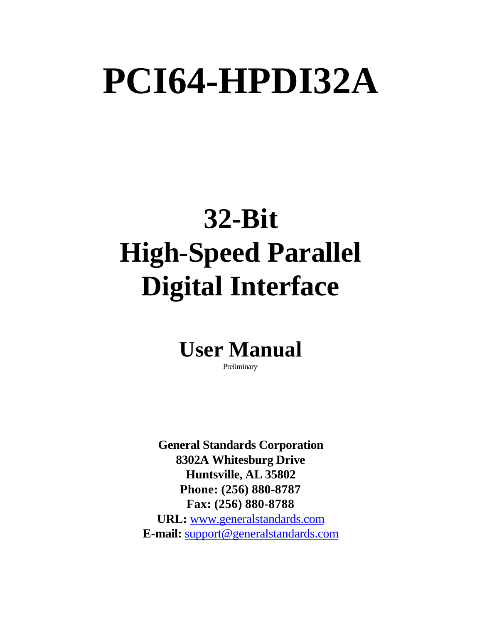# **PCI64-HPDI32A**

## **32-Bit High-Speed Parallel Digital Interface**

### **User Manual**

Preliminary

**General Standards Corporation 8302A Whitesburg Drive Huntsville, AL 35802 Phone: (256) 880-8787 Fax: (256) 880-8788 URL:** www.generalstandards.com **E-mail:** support@generalstandards.com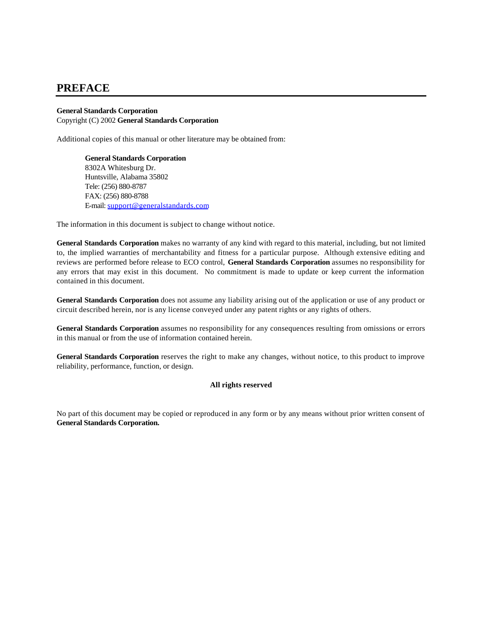#### **PREFACE**

#### **General Standards Corporation**  Copyright (C) 2002 **General Standards Corporation**

Additional copies of this manual or other literature may be obtained from:

**General Standards Corporation** 8302A Whitesburg Dr. Huntsville, Alabama 35802 Tele: (256) 880-8787 FAX: (256) 880-8788 E-mail: support@generalstandards.com

The information in this document is subject to change without notice.

**General Standards Corporation** makes no warranty of any kind with regard to this material, including, but not limited to, the implied warranties of merchantability and fitness for a particular purpose. Although extensive editing and reviews are performed before release to ECO control, **General Standards Corporation** assumes no responsibility for any errors that may exist in this document. No commitment is made to update or keep current the information contained in this document.

**General Standards Corporation** does not assume any liability arising out of the application or use of any product or circuit described herein, nor is any license conveyed under any patent rights or any rights of others.

**General Standards Corporation** assumes no responsibility for any consequences resulting from omissions or errors in this manual or from the use of information contained herein.

**General Standards Corporation** reserves the right to make any changes, without notice, to this product to improve reliability, performance, function, or design.

#### **All rights reserved**

No part of this document may be copied or reproduced in any form or by any means without prior written consent of **General Standards Corporation.**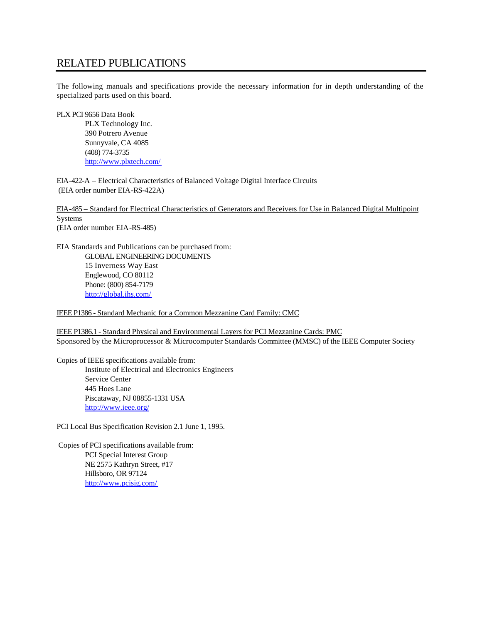#### RELATED PUBLICATIONS

The following manuals and specifications provide the necessary information for in depth understanding of the specialized parts used on this board.

#### PLX PCI 9656 Data Book

PLX Technology Inc. 390 Potrero Avenue Sunnyvale, CA 4085 (408) 774-3735 http://www.plxtech.com/

EIA-422-A – Electrical Characteristics of Balanced Voltage Digital Interface Circuits (EIA order number EIA-RS-422A)

EIA-485 – Standard for Electrical Characteristics of Generators and Receivers for Use in Balanced Digital Multipoint Systems (EIA order number EIA-RS-485)

EIA Standards and Publications can be purchased from: GLOBAL ENGINEERING DOCUMENTS 15 Inverness Way East Englewood, CO 80112 Phone: (800) 854-7179 http://global.ihs.com/

IEEE P1386 - Standard Mechanic for a Common Mezzanine Card Family: CMC

IEEE P1386.1 - Standard Physical and Environmental Layers for PCI Mezzanine Cards: PMC Sponsored by the Microprocessor & Microcomputer Standards Committee (MMSC) of the IEEE Computer Society

Copies of IEEE specifications available from: Institute of Electrical and Electronics Engineers Service Center 445 Hoes Lane Piscataway, NJ 08855-1331 USA http://www.ieee.org/

PCI Local Bus Specification Revision 2.1 June 1, 1995.

 Copies of PCI specifications available from: PCI Special Interest Group NE 2575 Kathryn Street, #17 Hillsboro, OR 97124 http://www.pcisig.com/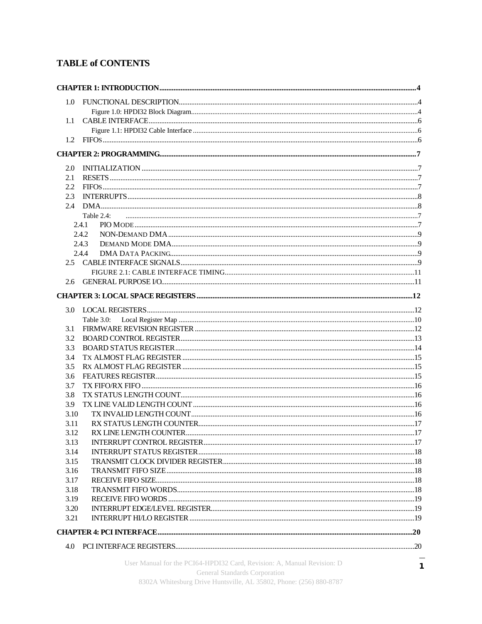#### **TABLE of CONTENTS**

| 1.0          |               |  |
|--------------|---------------|--|
|              |               |  |
| 1.1          |               |  |
|              |               |  |
| 1.2          |               |  |
|              |               |  |
| 2.0          |               |  |
| 2.1          |               |  |
| 2.2          |               |  |
| 2.3          |               |  |
| 2.4          |               |  |
|              | Table 2.4:    |  |
|              | 2.4.1         |  |
|              | 2.4.2         |  |
|              | 2.4.3         |  |
|              | 2.4.4         |  |
|              |               |  |
|              |               |  |
| 2.6          |               |  |
|              |               |  |
|              |               |  |
| 3.0          |               |  |
|              | Table $3.0$ : |  |
| 3.1          |               |  |
| 3.2          |               |  |
| 3.3          |               |  |
| 3.4          |               |  |
| 3.5          |               |  |
| 3.6          |               |  |
| 3.7          |               |  |
| 3.8          |               |  |
| 3.9<br>3.10  |               |  |
| 3.11         |               |  |
|              |               |  |
| 3.12<br>3.13 |               |  |
| 3.14         |               |  |
| 3.15         |               |  |
| 3.16         |               |  |
| 3.17         |               |  |
| 3.18         |               |  |
| 3.19         |               |  |
| 3.20         |               |  |
| 3.21         |               |  |
|              |               |  |
|              |               |  |
|              |               |  |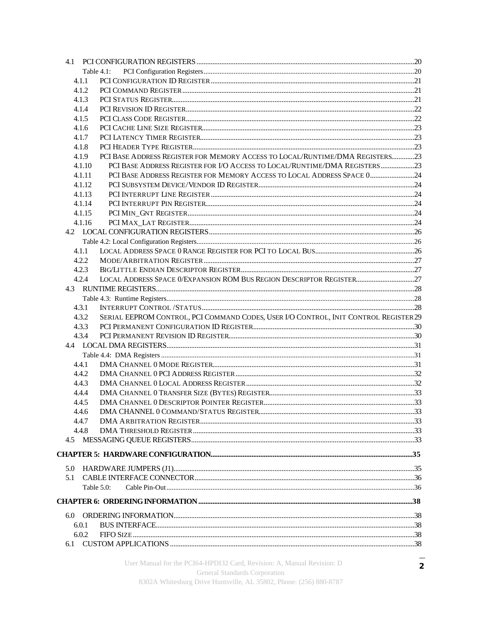|        | Table 4.1:                                                                           |  |
|--------|--------------------------------------------------------------------------------------|--|
| 4.1.1  |                                                                                      |  |
| 4.1.2  |                                                                                      |  |
| 4.1.3  |                                                                                      |  |
| 4.1.4  |                                                                                      |  |
| 4.1.5  |                                                                                      |  |
| 4.1.6  |                                                                                      |  |
| 4.1.7  |                                                                                      |  |
| 4.1.8  |                                                                                      |  |
| 4.1.9  | PCI BASE ADDRESS REGISTER FOR MEMORY ACCESS TO LOCAL/RUNTIME/DMA REGISTERS23         |  |
| 4.1.10 | PCI BASE ADDRESS REGISTER FOR I/O ACCESS TO LOCAL/RUNTIME/DMA REGISTERS23            |  |
| 4.1.11 | PCI BASE ADDRESS REGISTER FOR MEMORY ACCESS TO LOCAL ADDRESS SPACE 024               |  |
| 4.1.12 |                                                                                      |  |
| 4.1.13 |                                                                                      |  |
| 4.1.14 |                                                                                      |  |
| 4.1.15 |                                                                                      |  |
| 4.1.16 |                                                                                      |  |
|        |                                                                                      |  |
|        |                                                                                      |  |
| 4.1.1  |                                                                                      |  |
| 4.2.2  |                                                                                      |  |
| 4.2.3  |                                                                                      |  |
| 4.2.4  |                                                                                      |  |
|        |                                                                                      |  |
|        |                                                                                      |  |
| 4.3.1  |                                                                                      |  |
| 4.3.2  | SERIAL EEPROM CONTROL, PCI COMMAND CODES, USER I/O CONTROL, INIT CONTROL REGISTER 29 |  |
| 4.3.3  |                                                                                      |  |
| 4.3.4  |                                                                                      |  |
|        |                                                                                      |  |
|        |                                                                                      |  |
| 4.4.1  |                                                                                      |  |
| 4.4.2  |                                                                                      |  |
| 4.4.3  |                                                                                      |  |
| 4.4.4  |                                                                                      |  |
| 4.4.5  |                                                                                      |  |
| 4.4.6  |                                                                                      |  |
| 4.4.7  |                                                                                      |  |
| 4.4.8  |                                                                                      |  |
|        |                                                                                      |  |
|        |                                                                                      |  |
|        |                                                                                      |  |
| 5.0    |                                                                                      |  |
| 5.1    |                                                                                      |  |
|        | Table $5.0$ :                                                                        |  |
|        |                                                                                      |  |
|        |                                                                                      |  |
| 6.0.1  |                                                                                      |  |
| 6.0.2  |                                                                                      |  |
|        |                                                                                      |  |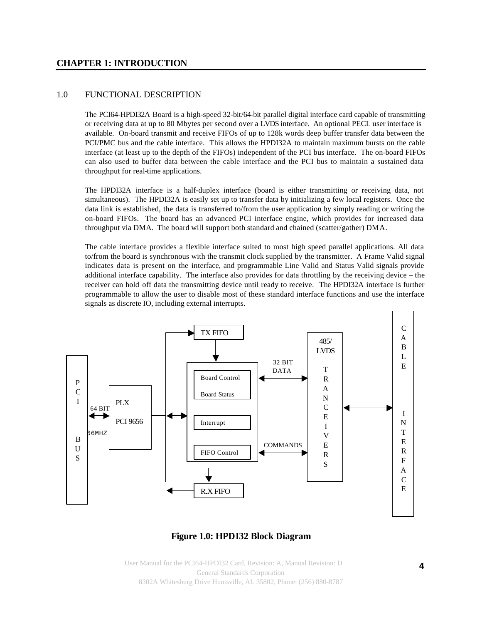#### **CHAPTER 1: INTRODUCTION**

#### 1.0 FUNCTIONAL DESCRIPTION

The PCI64-HPDI32A Board is a high-speed 32-bit/64-bit parallel digital interface card capable of transmitting or receiving data at up to 80 Mbytes per second over a LVDS interface. An optional PECL user interface is available. On-board transmit and receive FIFOs of up to 128k words deep buffer transfer data between the PCI/PMC bus and the cable interface. This allows the HPDI32A to maintain maximum bursts on the cable interface (at least up to the depth of the FIFOs) independent of the PCI bus interface. The on-board FIFOs can also used to buffer data between the cable interface and the PCI bus to maintain a sustained data throughput for real-time applications.

The HPDI32A interface is a half-duplex interface (board is either transmitting or receiving data, not simultaneous). The HPDI32A is easily set up to transfer data by initializing a few local registers. Once the data link is established, the data is transferred to/from the user application by simply reading or writing the on-board FIFOs. The board has an advanced PCI interface engine, which provides for increased data throughput via DMA. The board will support both standard and chained (scatter/gather) DMA.

The cable interface provides a flexible interface suited to most high speed parallel applications. All data to/from the board is synchronous with the transmit clock supplied by the transmitter. A Frame Valid signal indicates data is present on the interface, and programmable Line Valid and Status Valid signals provide additional interface capability. The interface also provides for data throttling by the receiving device – the receiver can hold off data the transmitting device until ready to receive. The HPDI32A interface is further programmable to allow the user to disable most of these standard interface functions and use the interface signals as discrete IO, including external interrupts.



#### **Figure 1.0: HPDI32 Block Diagram**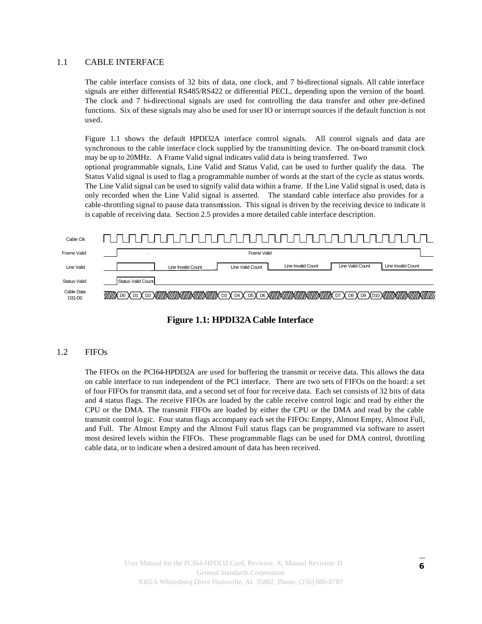#### 1.1 CABLE INTERFACE

The cable interface consists of 32 bits of data, one clock, and 7 bi-directional signals. All cable interface signals are either differential RS485/RS422 or differential PECL, depending upon the version of the board. The clock and 7 bi-directional signals are used for controlling the data transfer and other pre-defined functions. Six of these signals may also be used for user IO or interrupt sources if the default function is not used.

Figure 1.1 shows the default HPDI32A interface control signals. All control signals and data are synchronous to the cable interface clock supplied by the transmitting device. The on-board transmit clock may be up to 20MHz. A Frame Valid signal indicates valid data is being transferred. Two optional programmable signals, Line Valid and Status Valid, can be used to further qualify the data. The Status Valid signal is used to flag a programmable number of words at the start of the cycle as status words. The Line Valid signal can be used to signify valid data within a frame. If the Line Valid signal is used, data is only recorded when the Line Valid signal is asserted. The standard cable interface also provides for a cable-throttling signal to pause data transmission. This signal is driven by the receiving device to indicate it is capable of receiving data. Section 2.5 provides a more detailed cable interface description.





#### 1.2 FIFOs

The FIFOs on the PCI64-HPDI32A are used for buffering the transmit or receive data. This allows the data on cable interface to run independent of the PCI interface. There are two sets of FIFOs on the board: a set of four FIFOs for transmit data, and a second set of four for receive data. Each set consists of 32 bits of data and 4 status flags. The receive FIFOs are loaded by the cable receive control logic and read by either the CPU or the DMA. The transmit FIFOs are loaded by either the CPU or the DMA and read by the cable transmit control logic. Four status flags accompany each set the FIFOs: Empty, Almost Empty, Almost Full, and Full. The Almost Empty and the Almost Full status flags can be programmed via software to assert most desired levels within the FIFOs. These programmable flags can be used for DMA control, throttling cable data, or to indicate when a desired amount of data has been received.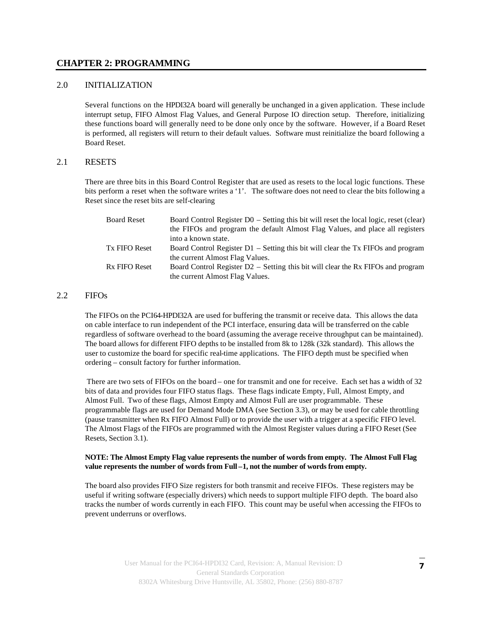#### **CHAPTER 2: PROGRAMMING**

#### 2.0 INITIALIZATION

Several functions on the HPDI32A board will generally be unchanged in a given application. These include interrupt setup, FIFO Almost Flag Values, and General Purpose IO direction setup. Therefore, initializing these functions board will generally need to be done only once by the software. However, if a Board Reset is performed, all registers will return to their default values. Software must reinitialize the board following a Board Reset.

#### 2.1 RESETS

There are three bits in this Board Control Register that are used as resets to the local logic functions. These bits perform a reset when the software writes a '1'. The software does not need to clear the bits following a Reset since the reset bits are self-clearing

| <b>Board Reset</b>   | Board Control Register D0 – Setting this bit will reset the local logic, reset (clear) |
|----------------------|----------------------------------------------------------------------------------------|
|                      | the FIFOs and program the default Almost Flag Values, and place all registers          |
|                      | into a known state.                                                                    |
| <b>Tx FIFO Reset</b> | Board Control Register D1 – Setting this bit will clear the Tx FIFOs and program       |
|                      | the current Almost Flag Values.                                                        |
| <b>Rx FIFO Reset</b> | Board Control Register $D2$ – Setting this bit will clear the Rx FIFOs and program     |
|                      | the current Almost Flag Values.                                                        |

#### 2.2 FIFOs

The FIFOs on the PCI64-HPDI32A are used for buffering the transmit or receive data. This allows the data on cable interface to run independent of the PCI interface, ensuring data will be transferred on the cable regardless of software overhead to the board (assuming the average receive throughput can be maintained). The board allows for different FIFO depths to be installed from 8k to 128k (32k standard). This allows the user to customize the board for specific real-time applications. The FIFO depth must be specified when ordering – consult factory for further information.

 There are two sets of FIFOs on the board – one for transmit and one for receive. Each set has a width of 32 bits of data and provides four FIFO status flags. These flags indicate Empty, Full, Almost Empty, and Almost Full. Two of these flags, Almost Empty and Almost Full are user programmable. These programmable flags are used for Demand Mode DMA (see Section 3.3), or may be used for cable throttling (pause transmitter when Rx FIFO Almost Full) or to provide the user with a trigger at a specific FIFO level. The Almost Flags of the FIFOs are programmed with the Almost Register values during a FIFO Reset (See Resets, Section 3.1).

#### **NOTE: The Almost Empty Flag value represents the number of words from empty. The Almost Full Flag value represents the number of words from Full –1, not the number of words from empty.**

The board also provides FIFO Size registers for both transmit and receive FIFOs. These registers may be useful if writing software (especially drivers) which needs to support multiple FIFO depth. The board also tracks the number of words currently in each FIFO. This count may be useful when accessing the FIFOs to prevent underruns or overflows.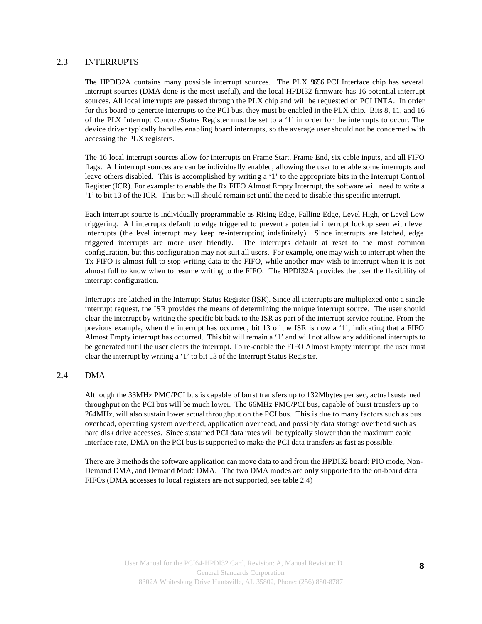#### 2.3 INTERRUPTS

The HPDI32A contains many possible interrupt sources. The PLX 9656 PCI Interface chip has several interrupt sources (DMA done is the most useful), and the local HPDI32 firmware has 16 potential interrupt sources. All local interrupts are passed through the PLX chip and will be requested on PCI INTA. In order for this board to generate interrupts to the PCI bus, they must be enabled in the PLX chip. Bits 8, 11, and 16 of the PLX Interrupt Control/Status Register must be set to a '1' in order for the interrupts to occur. The device driver typically handles enabling board interrupts, so the average user should not be concerned with accessing the PLX registers.

The 16 local interrupt sources allow for interrupts on Frame Start, Frame End, six cable inputs, and all FIFO flags. All interrupt sources are can be individually enabled, allowing the user to enable some interrupts and leave others disabled. This is accomplished by writing a '1' to the appropriate bits in the Interrupt Control Register (ICR). For example: to enable the Rx FIFO Almost Empty Interrupt, the software will need to write a '1' to bit 13 of the ICR. This bit will should remain set until the need to disable this specific interrupt.

Each interrupt source is individually programmable as Rising Edge, Falling Edge, Level High, or Level Low triggering. All interrupts default to edge triggered to prevent a potential interrupt lockup seen with level interrupts (the level interrupt may keep re-interrupting indefinitely). Since interrupts are latched, edge triggered interrupts are more user friendly. The interrupts default at reset to the most common configuration, but this configuration may not suit all users. For example, one may wish to interrupt when the Tx FIFO is almost full to stop writing data to the FIFO, while another may wish to interrupt when it is not almost full to know when to resume writing to the FIFO. The HPDI32A provides the user the flexibility of interrupt configuration.

Interrupts are latched in the Interrupt Status Register (ISR). Since all interrupts are multiplexed onto a single interrupt request, the ISR provides the means of determining the unique interrupt source. The user should clear the interrupt by writing the specific bit back to the ISR as part of the interrupt service routine. From the previous example, when the interrupt has occurred, bit 13 of the ISR is now a '1', indicating that a FIFO Almost Empty interrupt has occurred. This bit will remain a '1' and will not allow any additional interrupts to be generated until the user clears the interrupt. To re-enable the FIFO Almost Empty interrupt, the user must clear the interrupt by writing a '1' to bit 13 of the Interrupt Status Register.

#### 2.4 DMA

Although the 33MHz PMC/PCI bus is capable of burst transfers up to 132Mbytes per sec, actual sustained throughput on the PCI bus will be much lower. The 66MHz PMC/PCI bus, capable of burst transfers up to 264MHz, will also sustain lower actual throughput on the PCI bus. This is due to many factors such as bus overhead, operating system overhead, application overhead, and possibly data storage overhead such as hard disk drive accesses. Since sustained PCI data rates will be typically slower than the maximum cable interface rate, DMA on the PCI bus is supported to make the PCI data transfers as fast as possible.

There are 3 methods the software application can move data to and from the HPDI32 board: PIO mode, Non-Demand DMA, and Demand Mode DMA. The two DMA modes are only supported to the on-board data FIFOs (DMA accesses to local registers are not supported, see table 2.4)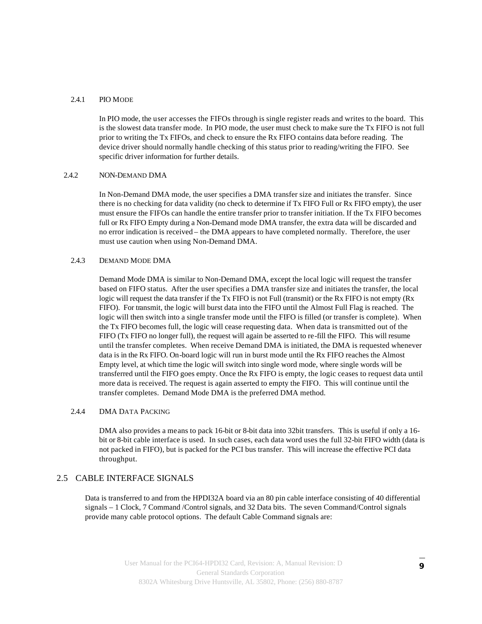#### 2.4.1 PIO MODE

In PIO mode, the user accesses the FIFOs through is single register reads and writes to the board. This is the slowest data transfer mode. In PIO mode, the user must check to make sure the Tx FIFO is not full prior to writing the Tx FIFOs, and check to ensure the Rx FIFO contains data before reading. The device driver should normally handle checking of this status prior to reading/writing the FIFO. See specific driver information for further details.

#### 2.4.2 NON-DEMAND DMA

In Non-Demand DMA mode, the user specifies a DMA transfer size and initiates the transfer. Since there is no checking for data validity (no check to determine if Tx FIFO Full or Rx FIFO empty), the user must ensure the FIFOs can handle the entire transfer prior to transfer initiation. If the Tx FIFO becomes full or Rx FIFO Empty during a Non-Demand mode DMA transfer, the extra data will be discarded and no error indication is received – the DMA appears to have completed normally. Therefore, the user must use caution when using Non-Demand DMA.

#### 2.4.3 DEMAND MODE DMA

Demand Mode DMA is similar to Non-Demand DMA, except the local logic will request the transfer based on FIFO status. After the user specifies a DMA transfer size and initiates the transfer, the local logic will request the data transfer if the Tx FIFO is not Full (transmit) or the Rx FIFO is not empty (Rx FIFO). For transmit, the logic will burst data into the FIFO until the Almost Full Flag is reached. The logic will then switch into a single transfer mode until the FIFO is filled (or transfer is complete). When the Tx FIFO becomes full, the logic will cease requesting data. When data is transmitted out of the FIFO (Tx FIFO no longer full), the request will again be asserted to re-fill the FIFO. This will resume until the transfer completes. When receive Demand DMA is initiated, the DMA is requested whenever data is in the Rx FIFO. On-board logic will run in burst mode until the Rx FIFO reaches the Almost Empty level, at which time the logic will switch into single word mode, where single words will be transferred until the FIFO goes empty. Once the Rx FIFO is empty, the logic ceases to request data until more data is received. The request is again asserted to empty the FIFO. This will continue until the transfer completes. Demand Mode DMA is the preferred DMA method.

#### 2.4.4 DMA DATA PACKING

DMA also provides a means to pack 16-bit or 8-bit data into 32bit transfers. This is useful if only a 16 bit or 8-bit cable interface is used. In such cases, each data word uses the full 32-bit FIFO width (data is not packed in FIFO), but is packed for the PCI bus transfer. This will increase the effective PCI data throughput.

#### 2.5 CABLE INTERFACE SIGNALS

Data is transferred to and from the HPDI32A board via an 80 pin cable interface consisting of 40 differential signals – 1 Clock, 7 Command /Control signals, and 32 Data bits. The seven Command/Control signals provide many cable protocol options. The default Cable Command signals are: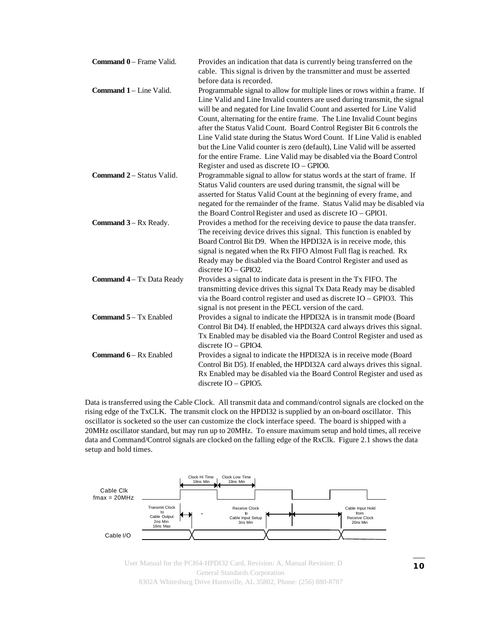| Command 0 - Frame Valid.       | Provides an indication that data is currently being transferred on the     |
|--------------------------------|----------------------------------------------------------------------------|
|                                | cable. This signal is driven by the transmitter and must be asserted       |
|                                | before data is recorded.                                                   |
| <b>Command 1 – Line Valid.</b> | Programmable signal to allow for multiple lines or rows within a frame. If |
|                                | Line Valid and Line Invalid counters are used during transmit, the signal  |
|                                | will be and negated for Line Invalid Count and asserted for Line Valid     |
|                                | Count, alternating for the entire frame. The Line Invalid Count begins     |
|                                | after the Status Valid Count. Board Control Register Bit 6 controls the    |
|                                | Line Valid state during the Status Word Count. If Line Valid is enabled    |
|                                | but the Line Valid counter is zero (default), Line Valid will be asserted  |
|                                | for the entire Frame. Line Valid may be disabled via the Board Control     |
|                                | Register and used as discrete IO - GPIO0.                                  |
| Command 2 - Status Valid.      | Programmable signal to allow for status words at the start of frame. If    |
|                                | Status Valid counters are used during transmit, the signal will be         |
|                                | asserted for Status Valid Count at the beginning of every frame, and       |
|                                | negated for the remainder of the frame. Status Valid may be disabled via   |
|                                | the Board Control Register and used as discrete IO - GPIO1.                |
| Command 3 – Rx Ready.          | Provides a method for the receiving device to pause the data transfer.     |
|                                | The receiving device drives this signal. This function is enabled by       |
|                                | Board Control Bit D9. When the HPDI32A is in receive mode, this            |
|                                | signal is negated when the Rx FIFO Almost Full flag is reached. Rx         |
|                                | Ready may be disabled via the Board Control Register and used as           |
|                                | discrete $IO$ – GPIO2.                                                     |
| Command 4 - Tx Data Ready      | Provides a signal to indicate data is present in the Tx FIFO. The          |
|                                | transmitting device drives this signal Tx Data Ready may be disabled       |
|                                | via the Board control register and used as discrete $IO - GPIO3$ . This    |
|                                | signal is not present in the PECL version of the card.                     |
| Command 5 - Tx Enabled         | Provides a signal to indicate the HPDI32A is in transmit mode (Board       |
|                                | Control Bit D4). If enabled, the HPDI32A card always drives this signal.   |
|                                | Tx Enabled may be disabled via the Board Control Register and used as      |
|                                | discrete IO - GPIO4.                                                       |
| Command 6 - Rx Enabled         | Provides a signal to indicate the HPDI32A is in receive mode (Board        |
|                                | Control Bit D5). If enabled, the HPDI32A card always drives this signal.   |
|                                | Rx Enabled may be disabled via the Board Control Register and used as      |
|                                | $discrete IO - GPIO5.$                                                     |

Data is transferred using the Cable Clock. All transmit data and command/control signals are clocked on the rising edge of the TxCLK. The transmit clock on the HPDI32 is supplied by an on-board oscillator. This oscillator is socketed so the user can customize the clock interface speed. The board is shipped with a 20MHz oscillator standard, but may run up to 20MHz. To ensure maximum setup and hold times, all receive data and Command/Control signals are clocked on the falling edge of the RxClk. Figure 2.1 shows the data setup and hold times.

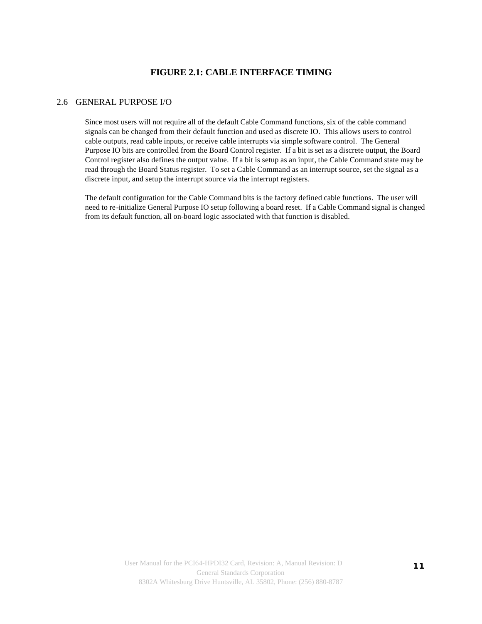#### **FIGURE 2.1: CABLE INTERFACE TIMING**

#### 2.6 GENERAL PURPOSE I/O

Since most users will not require all of the default Cable Command functions, six of the cable command signals can be changed from their default function and used as discrete IO. This allows users to control cable outputs, read cable inputs, or receive cable interrupts via simple software control. The General Purpose IO bits are controlled from the Board Control register. If a bit is set as a discrete output, the Board Control register also defines the output value. If a bit is setup as an input, the Cable Command state may be read through the Board Status register. To set a Cable Command as an interrupt source, set the signal as a discrete input, and setup the interrupt source via the interrupt registers.

The default configuration for the Cable Command bits is the factory defined cable functions. The user will need to re-initialize General Purpose IO setup following a board reset. If a Cable Command signal is changed from its default function, all on-board logic associated with that function is disabled.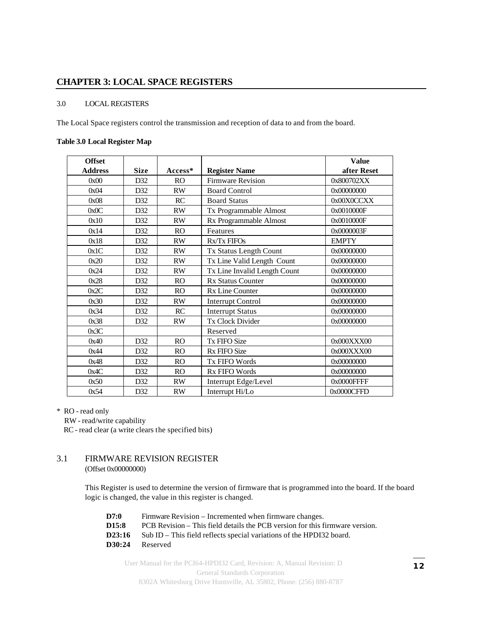#### **CHAPTER 3: LOCAL SPACE REGISTERS**

#### 3.0 LOCAL REGISTERS

The Local Space registers control the transmission and reception of data to and from the board.

#### **Table 3.0 Local Register Map**

| <b>Offset</b>  |             |           |                              | <b>Value</b> |
|----------------|-------------|-----------|------------------------------|--------------|
| <b>Address</b> | <b>Size</b> | $Access*$ | <b>Register Name</b>         | after Reset  |
| 0x00           | D32         | <b>RO</b> | <b>Firmware Revision</b>     | 0x800702XX   |
| 0x04           | D32         | <b>RW</b> | <b>Board Control</b>         | 0x00000000   |
| 0x08           | D32         | RC        | <b>Board Status</b>          | 0x00X0CCXX   |
| 0x0C           | D32         | <b>RW</b> | Tx Programmable Almost       | 0x0010000F   |
| 0x10           | D32         | <b>RW</b> | Rx Programmable Almost       | 0x0010000F   |
| 0x14           | D32         | RO        | Features                     | 0x0000003F   |
| 0x18           | D32         | <b>RW</b> | Rx/Tx FIFOs                  | <b>EMPTY</b> |
| 0x1C           | D32         | <b>RW</b> | Tx Status Length Count       | 0x00000000   |
| 0x20           | D32         | <b>RW</b> | Tx Line Valid Length Count   | 0x00000000   |
| 0x24           | D32         | <b>RW</b> | Tx Line Invalid Length Count | 0x00000000   |
| 0x28           | D32         | <b>RO</b> | <b>Rx Status Counter</b>     | 0x00000000   |
| 0x2C           | D32         | RO        | Rx Line Counter              | 0x00000000   |
| 0x30           | D32         | <b>RW</b> | <b>Interrupt Control</b>     | 0x00000000   |
| 0x34           | D32         | RC        | <b>Interrupt Status</b>      | 0x00000000   |
| 0x38           | D32         | <b>RW</b> | Tx Clock Divider             | 0x00000000   |
| 0x3C           |             |           | Reserved                     |              |
| 0x40           | D32         | RO        | <b>Tx FIFO Size</b>          | 0x000XXXX00  |
| 0x44           | D32         | <b>RO</b> | Rx FIFO Size                 | 0x000XXX00   |
| 0x48           | D32         | <b>RO</b> | Tx FIFO Words                | 0x00000000   |
| 0x4C           | D32         | RO        | <b>Rx FIFO Words</b>         | 0x00000000   |
| 0x50           | D32         | <b>RW</b> | Interrupt Edge/Level         | 0x0000FFFF   |
| 0x54           | D32         | <b>RW</b> | Interrupt Hi/Lo              | 0x0000CFFD   |

\* RO - read only

RW - read/write capability

RC - read clear (a write clears the specified bits)

#### 3.1 FIRMWARE REVISION REGISTER (Offset 0x00000000)

This Register is used to determine the version of firmware that is programmed into the board. If the board logic is changed, the value in this register is changed.

**D7:0** Firmware Revision – Incremented when firmware changes. **D15:8** PCB Revision – This field details the PCB version for this firmware version. **D23:16** Sub ID – This field reflects special variations of the HPDI32 board. **D30:24** Reserved

User Manual for the PCI64-HPDI32 Card, Revision: A, Manual Revision: D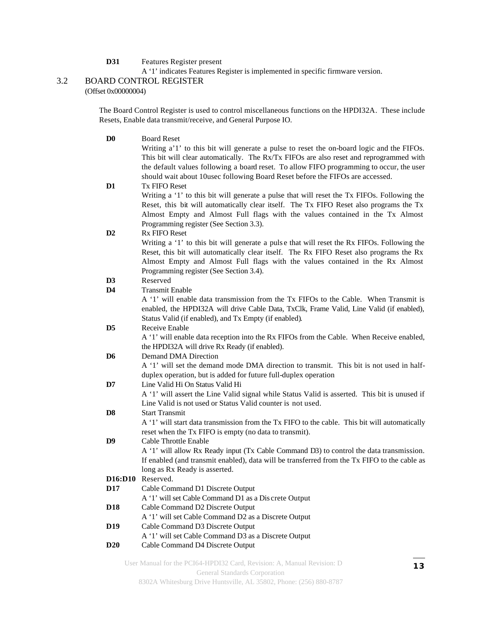**D31** Features Register present

A '1' indicates Features Register is implemented in specific firmware version.

#### 3.2 BOARD CONTROL REGISTER

(Offset 0x00000004)

The Board Control Register is used to control miscellaneous functions on the HPDI32A. These include Resets, Enable data transmit/receive, and General Purpose IO.

| D <sub>0</sub>  | <b>Board Reset</b>                                                                            |
|-----------------|-----------------------------------------------------------------------------------------------|
|                 | Writing a'1' to this bit will generate a pulse to reset the on-board logic and the FIFOs.     |
|                 | This bit will clear automatically. The Rx/Tx FIFOs are also reset and reprogrammed with       |
|                 | the default values following a board reset. To allow FIFO programming to occur, the user      |
|                 | should wait about 10usec following Board Reset before the FIFOs are accessed.                 |
| D1              | <b>Tx FIFO Reset</b>                                                                          |
|                 | Writing a '1' to this bit will generate a pulse that will reset the Tx FIFOs. Following the   |
|                 | Reset, this bit will automatically clear itself. The Tx FIFO Reset also programs the Tx       |
|                 | Almost Empty and Almost Full flags with the values contained in the Tx Almost                 |
|                 | Programming register (See Section 3.3).                                                       |
| D <sub>2</sub>  | <b>Rx FIFO Reset</b>                                                                          |
|                 | Writing a '1' to this bit will generate a pulse that will reset the Rx FIFOs. Following the   |
|                 | Reset, this bit will automatically clear itself. The Rx FIFO Reset also programs the Rx       |
|                 | Almost Empty and Almost Full flags with the values contained in the Rx Almost                 |
|                 | Programming register (See Section 3.4).                                                       |
| D <sub>3</sub>  | Reserved                                                                                      |
| D4              | <b>Transmit Enable</b>                                                                        |
|                 | A '1' will enable data transmission from the Tx FIFOs to the Cable. When Transmit is          |
|                 | enabled, the HPDI32A will drive Cable Data, TxClk, Frame Valid, Line Valid (if enabled),      |
|                 | Status Valid (if enabled), and Tx Empty (if enabled).<br>Receive Enable                       |
| D <sub>5</sub>  | A '1' will enable data reception into the Rx FIFOs from the Cable. When Receive enabled,      |
|                 | the HPDI32A will drive Rx Ready (if enabled).                                                 |
| D <sub>6</sub>  | Demand DMA Direction                                                                          |
|                 | A '1' will set the demand mode DMA direction to transmit. This bit is not used in half-       |
|                 | duplex operation, but is added for future full-duplex operation                               |
| D7              | Line Valid Hi On Status Valid Hi                                                              |
|                 | A '1' will assert the Line Valid signal while Status Valid is asserted. This bit is unused if |
|                 | Line Valid is not used or Status Valid counter is not used.                                   |
| D <sub>8</sub>  | <b>Start Transmit</b>                                                                         |
|                 | A '1' will start data transmission from the Tx FIFO to the cable. This bit will automatically |
|                 | reset when the Tx FIFO is empty (no data to transmit).                                        |
| D9              | Cable Throttle Enable                                                                         |
|                 | A '1' will allow Rx Ready input (Tx Cable Command D3) to control the data transmission.       |
|                 | If enabled (and transmit enabled), data will be transferred from the Tx FIFO to the cable as  |
|                 | long as Rx Ready is asserted.                                                                 |
|                 | D <sub>16</sub> :D <sub>10</sub> Reserved.                                                    |
| D17             | Cable Command D1 Discrete Output                                                              |
|                 | A '1' will set Cable Command D1 as a Dis crete Output                                         |
| D18             | Cable Command D2 Discrete Output<br>A '1' will set Cable Command D2 as a Discrete Output      |
| D <sub>19</sub> | Cable Command D3 Discrete Output                                                              |
|                 | A '1' will set Cable Command D3 as a Discrete Output                                          |
| <b>D20</b>      | Cable Command D4 Discrete Output                                                              |
|                 |                                                                                               |

User Manual for the PCI64-HPDI32 Card, Revision: A, Manual Revision: D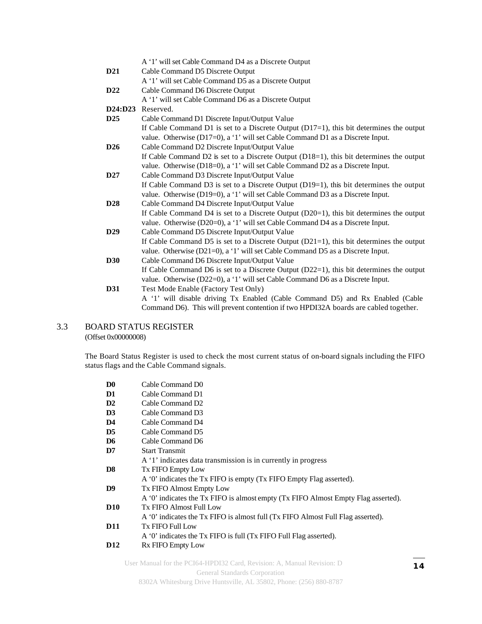|                | A '1' will set Cable Command D4 as a Discrete Output                                       |
|----------------|--------------------------------------------------------------------------------------------|
| D21            | Cable Command D5 Discrete Output                                                           |
|                | A '1' will set Cable Command D5 as a Discrete Output                                       |
| D22            | Cable Command D6 Discrete Output                                                           |
|                | A '1' will set Cable Command D6 as a Discrete Output                                       |
| <b>D24:D23</b> | Reserved.                                                                                  |
| D25            | Cable Command D1 Discrete Input/Output Value                                               |
|                | If Cable Command D1 is set to a Discrete Output $(D17=1)$ , this bit determines the output |
|                | value. Otherwise (D17=0), a '1' will set Cable Command D1 as a Discrete Input.             |
| D26            | Cable Command D2 Discrete Input/Output Value                                               |
|                | If Cable Command D2 is set to a Discrete Output (D18=1), this bit determines the output    |
|                | value. Otherwise (D18=0), a '1' will set Cable Command D2 as a Discrete Input.             |
| D27            | Cable Command D3 Discrete Input/Output Value                                               |
|                | If Cable Command D3 is set to a Discrete Output $(D19=1)$ , this bit determines the output |
|                | value. Otherwise (D19=0), a '1' will set Cable Command D3 as a Discrete Input.             |
| D28            | Cable Command D4 Discrete Input/Output Value                                               |
|                | If Cable Command D4 is set to a Discrete Output $(D20=1)$ , this bit determines the output |
|                | value. Otherwise (D20=0), a '1' will set Cable Command D4 as a Discrete Input.             |
| D29            | Cable Command D5 Discrete Input/Output Value                                               |
|                | If Cable Command D5 is set to a Discrete Output $(D21=1)$ , this bit determines the output |
|                | value. Otherwise (D21=0), a '1' will set Cable Command D5 as a Discrete Input.             |
| <b>D30</b>     | Cable Command D6 Discrete Input/Output Value                                               |
|                | If Cable Command D6 is set to a Discrete Output (D22=1), this bit determines the output    |
|                | value. Otherwise (D22=0), a '1' will set Cable Command D6 as a Discrete Input.             |
| D31            | Test Mode Enable (Factory Test Only)                                                       |
|                | A '1' will disable driving Tx Enabled (Cable Command D5) and Rx Enabled (Cable             |
|                | Command D6). This will prevent contention if two HPDI32A boards are cabled together.       |

#### 3.3 BOARD STATUS REGISTER

(Offset 0x00000008)

The Board Status Register is used to check the most current status of on-board signals including the FIFO status flags and the Cable Command signals.

| D <sub>0</sub>  | Cable Command D0                                                                  |
|-----------------|-----------------------------------------------------------------------------------|
| D <sub>1</sub>  | Cable Command D1                                                                  |
| $\mathbf{D}2$   | Cable Command D2                                                                  |
| D3              | Cable Command D3                                                                  |
| D <sub>4</sub>  | Cable Command D4                                                                  |
| D <sub>5</sub>  | Cable Command D5                                                                  |
| D <sub>6</sub>  | Cable Command D6                                                                  |
| D7              | <b>Start Transmit</b>                                                             |
|                 | A '1' indicates data transmission is in currently in progress                     |
| D8              | <b>Tx FIFO Empty Low</b>                                                          |
|                 | A '0' indicates the Tx FIFO is empty (Tx FIFO Empty Flag asserted).               |
| D <sub>9</sub>  | <b>Tx FIFO Almost Empty Low</b>                                                   |
|                 | A '0' indicates the Tx FIFO is almost empty (Tx FIFO Almost Empty Flag asserted). |
| <b>D10</b>      | Tx FIFO Almost Full Low                                                           |
|                 | A '0' indicates the Tx FIFO is almost full (Tx FIFO Almost Full Flag asserted).   |
| <b>D11</b>      | <b>Tx FIFO Full Low</b>                                                           |
|                 | A '0' indicates the Tx FIFO is full (Tx FIFO Full Flag asserted).                 |
| D <sub>12</sub> | Rx FIFO Empty Low                                                                 |
|                 |                                                                                   |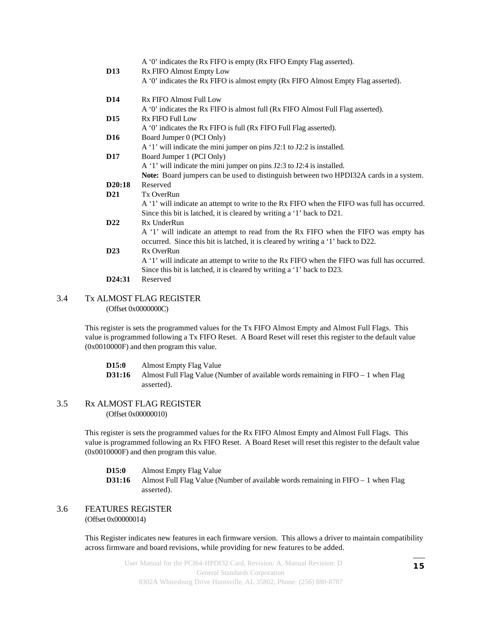|                 | A '0' indicates the Rx FIFO is empty (Rx FIFO Empty Flag asserted).                         |
|-----------------|---------------------------------------------------------------------------------------------|
| <b>D13</b>      | Rx FIFO Almost Empty Low                                                                    |
|                 | A '0' indicates the Rx FIFO is almost empty (Rx FIFO Almost Empty Flag asserted).           |
| <b>D14</b>      | Rx FIFO Almost Full Low                                                                     |
|                 | A '0' indicates the Rx FIFO is almost full (Rx FIFO Almost Full Flag asserted).             |
| <b>D</b> 15     | Rx FIFO Full Low                                                                            |
|                 | A '0' indicates the Rx FIFO is full (Rx FIFO Full Flag asserted).                           |
| <b>D16</b>      | Board Jumper 0 (PCI Only)                                                                   |
|                 | A '1' will indicate the mini jumper on pins J2:1 to J2:2 is installed.                      |
| <b>D17</b>      | Board Jumper 1 (PCI Only)                                                                   |
|                 | A '1' will indicate the mini jumper on pins J2:3 to J2:4 is installed.                      |
|                 | Note: Board jumpers can be used to distinguish between two HPDI32A cards in a system.       |
| D20:18          | Reserved                                                                                    |
| D <sub>21</sub> | Tx OverRun                                                                                  |
|                 | A '1' will indicate an attempt to write to the Rx FIFO when the FIFO was full has occurred. |
|                 | Since this bit is latched, it is cleared by writing a '1' back to D21.                      |
| D <sub>22</sub> | Rx UnderRun                                                                                 |
|                 | A '1' will indicate an attempt to read from the Rx FIFO when the FIFO was empty has         |
|                 | occurred. Since this bit is latched, it is cleared by writing a '1' back to D22.            |
| D23             | Rx OverRun                                                                                  |
|                 | A '1' will indicate an attempt to write to the Rx FIFO when the FIFO was full has occurred. |
|                 | Since this bit is latched, it is cleared by writing a '1' back to D23.                      |
| D24:31          | Reserved                                                                                    |

#### 3.4 Tx ALMOST FLAG REGISTER (Offset 0x0000000C)

This register is sets the programmed values for the Tx FIFO Almost Empty and Almost Full Flags. This value is programmed following a Tx FIFO Reset. A Board Reset will reset this register to the default value (0x0010000F) and then program this value.

**D15:0** Almost Empty Flag Value **D31:16** Almost Full Flag Value (Number of available words remaining in FIFO – 1 when Flag asserted).

#### 3.5 Rx ALMOST FLAG REGISTER (Offset 0x00000010)

This register is sets the programmed values for the Rx FIFO Almost Empty and Almost Full Flags. This value is programmed following an Rx FIFO Reset. A Board Reset will reset this register to the default value (0x0010000F) and then program this value.

- **D15:0** Almost Empty Flag Value
- **D31:16** Almost Full Flag Value (Number of available words remaining in FIFO 1 when Flag asserted).

#### 3.6 FEATURES REGISTER (Offset 0x00000014)

This Register indicates new features in each firmware version. This allows a driver to maintain compatibility across firmware and board revisions, while providing for new features to be added.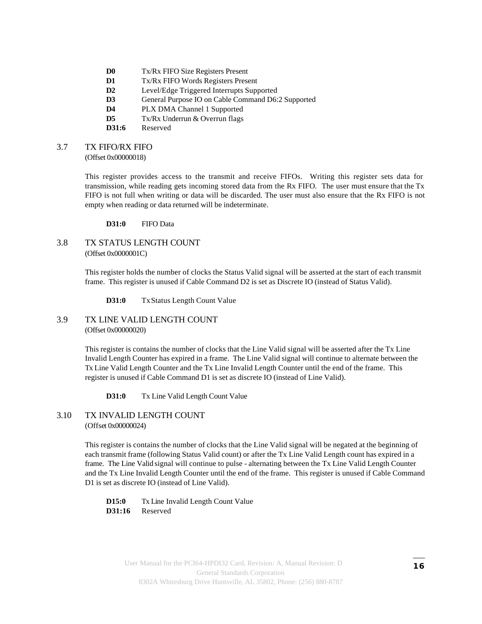- **D0** Tx/Rx FIFO Size Registers Present
- **D1** Tx/Rx FIFO Words Registers Present
- **D2** Level/Edge Triggered Interrupts Supported
- **D3** General Purpose IO on Cable Command D6:2 Supported
- **D4** PLX DMA Channel 1 Supported
- **D5** Tx/Rx Underrun & Overrun flags
- **D31:6** Reserved

#### 3.7 TX FIFO/RX FIFO

(Offset 0x00000018)

This register provides access to the transmit and receive FIFOs. Writing this register sets data for transmission, while reading gets incoming stored data from the Rx FIFO. The user must ensure that the Tx FIFO is not full when writing or data will be discarded. The user must also ensure that the Rx FIFO is not empty when reading or data returned will be indeterminate.

**D31:0** FIFO Data

#### 3.8 TX STATUS LENGTH COUNT (Offset 0x0000001C)

This register holds the number of clocks the Status Valid signal will be asserted at the start of each transmit frame. This register is unused if Cable Command D2 is set as Discrete IO (instead of Status Valid).

**D31:0** TxStatus Length Count Value

#### 3.9 TX LINE VALID LENGTH COUNT (Offset 0x00000020)

This register is contains the number of clocks that the Line Valid signal will be asserted after the Tx Line Invalid Length Counter has expired in a frame. The Line Valid signal will continue to alternate between the Tx Line Valid Length Counter and the Tx Line Invalid Length Counter until the end of the frame. This register is unused if Cable Command D1 is set as discrete IO (instead of Line Valid).

**D31:0** Tx Line Valid Length Count Value

#### 3.10 TX INVALID LENGTH COUNT (Offset 0x00000024)

This register is contains the number of clocks that the Line Valid signal will be negated at the beginning of each transmit frame (following Status Valid count) or after the Tx Line Valid Length count has expired in a frame. The Line Valid signal will continue to pulse - alternating between the Tx Line Valid Length Counter and the Tx Line Invalid Length Counter until the end of the frame. This register is unused if Cable Command D1 is set as discrete IO (instead of Line Valid).

**D15:0** Tx Line Invalid Length Count Value **D31:16** Reserved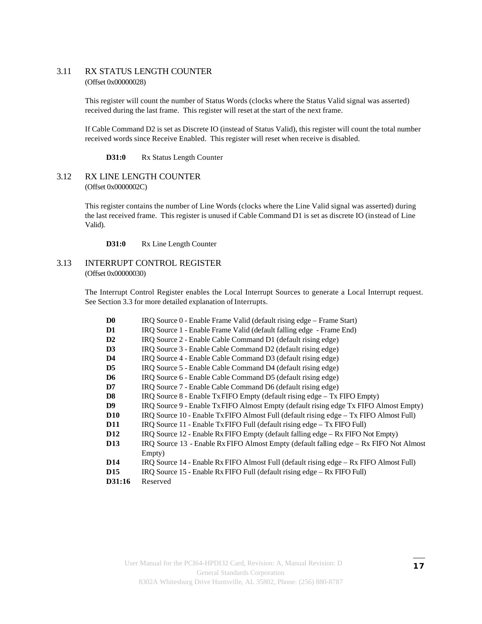#### 3.11 RX STATUS LENGTH COUNTER (Offset 0x00000028)

This register will count the number of Status Words (clocks where the Status Valid signal was asserted) received during the last frame. This register will reset at the start of the next frame.

If Cable Command D2 is set as Discrete IO (instead of Status Valid), this register will count the total number received words since Receive Enabled. This register will reset when receive is disabled.

**D31:0** Rx Status Length Counter

#### 3.12 RX LINE LENGTH COUNTER (Offset 0x0000002C)

This register contains the number of Line Words (clocks where the Line Valid signal was asserted) during the last received frame. This register is unused if Cable Command D1 is set as discrete IO (instead of Line Valid).

**D31:0** Rx Line Length Counter

#### 3.13 INTERRUPT CONTROL REGISTER (Offset 0x00000030)

The Interrupt Control Register enables the Local Interrupt Sources to generate a Local Interrupt request. See Section 3.3 for more detailed explanation of Interrupts.

| D <sub>0</sub>  | IRQ Source 0 - Enable Frame Valid (default rising edge – Frame Start)                  |
|-----------------|----------------------------------------------------------------------------------------|
| D1              | IRQ Source 1 - Enable Frame Valid (default falling edge - Frame End)                   |
| $\mathbf{D}2$   | IRQ Source 2 - Enable Cable Command D1 (default rising edge)                           |
| D3              | IRQ Source 3 - Enable Cable Command D2 (default rising edge)                           |
| D <sub>4</sub>  | IRQ Source 4 - Enable Cable Command D3 (default rising edge)                           |
| D <sub>5</sub>  | IRQ Source 5 - Enable Cable Command D4 (default rising edge)                           |
| D <sub>6</sub>  | IRQ Source 6 - Enable Cable Command D5 (default rising edge)                           |
| $\mathbf{D7}$   | IRQ Source 7 - Enable Cable Command D6 (default rising edge)                           |
| D <sub>8</sub>  | IRQ Source 8 - Enable Tx FIFO Empty (default rising edge – Tx FIFO Empty)              |
| D <sup>9</sup>  | IRQ Source 9 - Enable Tx FIFO Almost Empty (default rising edge Tx FIFO Almost Empty)  |
| <b>D10</b>      | IRQ Source 10 - Enable Tx FIFO Almost Full (default rising edge - Tx FIFO Almost Full) |
| <b>D11</b>      | IRQ Source 11 - Enable Tx FIFO Full (default rising edge – Tx FIFO Full)               |
| <b>D12</b>      | IRQ Source 12 - Enable Rx FIFO Empty (default falling edge – Rx FIFO Not Empty)        |
| <b>D13</b>      | IRQ Source 13 - Enable Rx FIFO Almost Empty (default falling edge – Rx FIFO Not Almost |
|                 | Empty)                                                                                 |
| D <sub>14</sub> | IRQ Source 14 - Enable Rx FIFO Almost Full (default rising edge – Rx FIFO Almost Full) |
| D <sub>15</sub> | IRQ Source 15 - Enable Rx FIFO Full (default rising edge – Rx FIFO Full)               |
| D31:16          | Reserved                                                                               |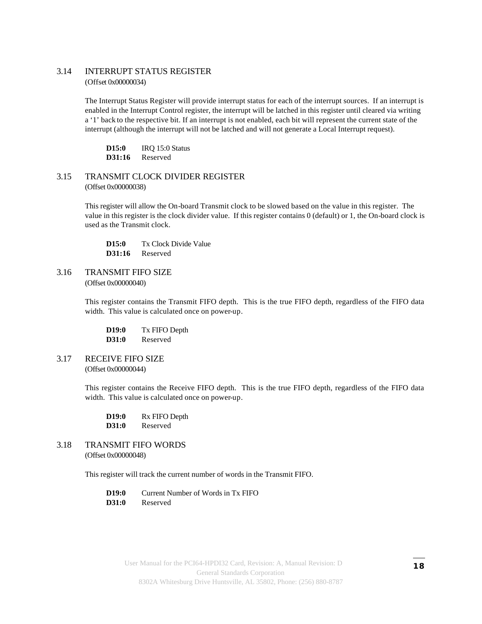#### 3.14 INTERRUPT STATUS REGISTER (Offset 0x00000034)

The Interrupt Status Register will provide interrupt status for each of the interrupt sources. If an interrupt is enabled in the Interrupt Control register, the interrupt will be latched in this register until cleared via writing a '1' back to the respective bit. If an interrupt is not enabled, each bit will represent the current state of the interrupt (although the interrupt will not be latched and will not generate a Local Interrupt request).

**D15:0** IRQ 15:0 Status **D31:16** Reserved

3.15 TRANSMIT CLOCK DIVIDER REGISTER (Offset 0x00000038)

> This register will allow the On-board Transmit clock to be slowed based on the value in this register. The value in this register is the clock divider value. If this register contains 0 (default) or 1, the On-board clock is used as the Transmit clock.

**D15:0** Tx Clock Divide Value **D31:16** Reserved

3.16 TRANSMIT FIFO SIZE (Offset 0x00000040)

> This register contains the Transmit FIFO depth. This is the true FIFO depth, regardless of the FIFO data width. This value is calculated once on power-up.

**D19:0** Tx FIFO Depth **D31:0** Reserved

3.17 RECEIVE FIFO SIZE (Offset 0x00000044)

> This register contains the Receive FIFO depth. This is the true FIFO depth, regardless of the FIFO data width. This value is calculated once on power-up.

| D <sub>19:0</sub> | Rx FIFO Depth |
|-------------------|---------------|
| D31:0             | Reserved      |

3.18 TRANSMIT FIFO WORDS (Offset 0x00000048)

This register will track the current number of words in the Transmit FIFO.

**D19:0** Current Number of Words in Tx FIFO

**D31:0** Reserved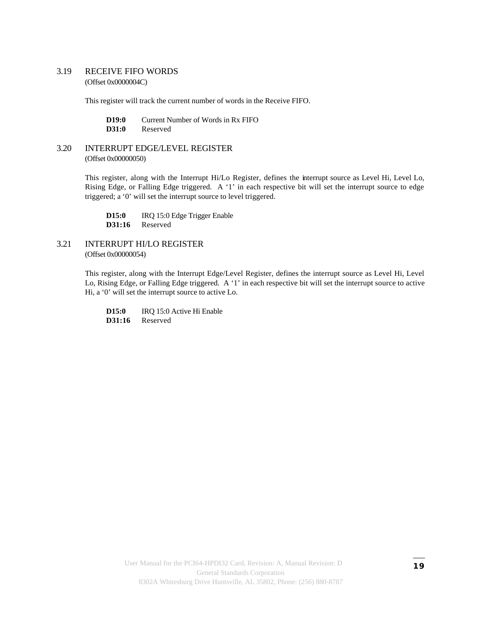#### 3.19 RECEIVE FIFO WORDS (Offset 0x0000004C)

This register will track the current number of words in the Receive FIFO.

**D19:0** Current Number of Words in Rx FIFO **D31:0** Reserved

#### 3.20 INTERRUPT EDGE/LEVEL REGISTER (Offset 0x00000050)

This register, along with the Interrupt Hi/Lo Register, defines the interrupt source as Level Hi, Level Lo, Rising Edge, or Falling Edge triggered. A '1' in each respective bit will set the interrupt source to edge triggered; a '0' will set the interrupt source to level triggered.

**D15:0** IRQ 15:0 Edge Trigger Enable **D31:16** Reserved

#### 3.21 INTERRUPT HI/LO REGISTER (Offset 0x00000054)

This register, along with the Interrupt Edge/Level Register, defines the interrupt source as Level Hi, Level Lo, Rising Edge, or Falling Edge triggered. A '1' in each respective bit will set the interrupt source to active Hi, a '0' will set the interrupt source to active Lo.

**D15:0** IRQ 15:0 Active Hi Enable **D31:16** Reserved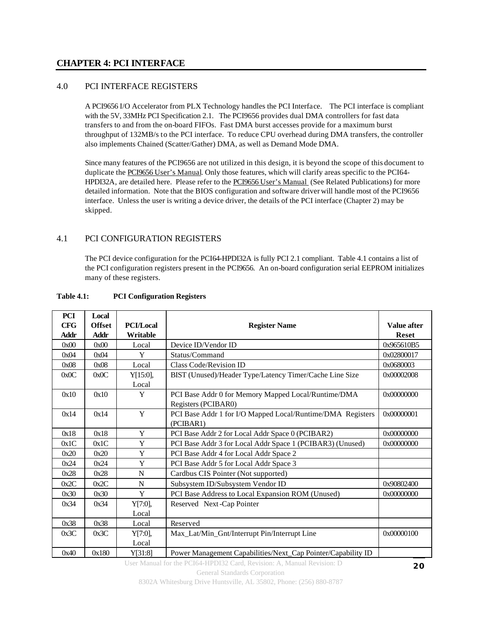#### **CHAPTER 4: PCI INTERFACE**

#### 4.0 PCI INTERFACE REGISTERS

A PCI9656 I/O Accelerator from PLX Technology handles the PCI Interface. The PCI interface is compliant with the 5V, 33MHz PCI Specification 2.1. The PCI9656 provides dual DMA controllers for fast data transfers to and from the on-board FIFOs. Fast DMA burst accesses provide for a maximum burst throughput of 132MB/s to the PCI interface. To reduce CPU overhead during DMA transfers, the controller also implements Chained (Scatter/Gather) DMA, as well as Demand Mode DMA.

Since many features of the PCI9656 are not utilized in this design, it is beyond the scope of this document to duplicate the PCI9656 User's Manual. Only those features, which will clarify areas specific to the PCI64- HPDI32A, are detailed here. Please refer to the **PCI9656** User's Manual (See Related Publications) for more detailed information. Note that the BIOS configuration and software driver will handle most of the PCI9656 interface. Unless the user is writing a device driver, the details of the PCI interface (Chapter 2) may be skipped.

#### 4.1 PCI CONFIGURATION REGISTERS

The PCI device configuration for the PCI64-HPDI32A is fully PCI 2.1 compliant. Table 4.1 contains a list of the PCI configuration registers present in the PCI9656. An on-board configuration serial EEPROM initializes many of these registers.

| <b>PCI</b>  | Local         |                  |                                                              |                    |
|-------------|---------------|------------------|--------------------------------------------------------------|--------------------|
| <b>CFG</b>  | <b>Offset</b> | <b>PCI/Local</b> | <b>Register Name</b>                                         | <b>Value after</b> |
| <b>Addr</b> | Addr          | Writable         |                                                              | <b>Reset</b>       |
| 0x00        | 0x00          | Local            | Device ID/Vendor ID                                          | 0x965610B5         |
| 0x04        | 0x04          | Y                | Status/Command                                               | 0x02800017         |
| 0x08        | 0x08          | Local            | Class Code/Revision ID                                       | 0x0680003          |
| 0x0C        | 0x0C          | Y[15:0],         | BIST (Unused)/Header Type/Latency Timer/Cache Line Size      | 0x00002008         |
|             |               | Local            |                                                              |                    |
| 0x10        | 0x10          | Y                | PCI Base Addr 0 for Memory Mapped Local/Runtime/DMA          | 0x00000000         |
|             |               |                  | Registers (PCIBAR0)                                          |                    |
| 0x14        | 0x14          | Y                | PCI Base Addr 1 for I/O Mapped Local/Runtime/DMA Registers   | 0x00000001         |
|             |               |                  | (PCIBAR1)                                                    |                    |
| 0x18        | 0x18          | Y                | PCI Base Addr 2 for Local Addr Space 0 (PCIBAR2)             | 0x00000000         |
| 0x1C        | 0x1C          | Y                | PCI Base Addr 3 for Local Addr Space 1 (PCIBAR3) (Unused)    | 0x00000000         |
| 0x20        | 0x20          | Y                | PCI Base Addr 4 for Local Addr Space 2                       |                    |
| 0x24        | 0x24          | Y                | PCI Base Addr 5 for Local Addr Space 3                       |                    |
| 0x28        | 0x28          | $\mathbf N$      | Cardbus CIS Pointer (Not supported)                          |                    |
| 0x2C        | 0x2C          | N                | Subsystem ID/Subsystem Vendor ID                             | 0x90802400         |
| 0x30        | 0x30          | Y                | PCI Base Address to Local Expansion ROM (Unused)             | 0x00000000         |
| 0x34        | 0x34          | Y[7:0],          | Reserved Next-Cap Pointer                                    |                    |
|             |               | Local            |                                                              |                    |
| 0x38        | 0x38          | Local            | Reserved                                                     |                    |
| 0x3C        | 0x3C          | Y[7:0],          | Max_Lat/Min_Gnt/Interrupt Pin/Interrupt Line                 | 0x00000100         |
|             |               | Local            |                                                              |                    |
| 0x40        | 0x180         | Y[31:8]          | Power Management Capabilities/Next_Cap Pointer/Capability ID |                    |

#### **Table 4.1: PCI Configuration Registers**

User Manual for the PCI64-HPDI32 Card, Revision: A, Manual Revision: D

General Standards Corporation

8302A Whitesburg Drive Huntsville, AL 35802, Phone: (256) 880-8787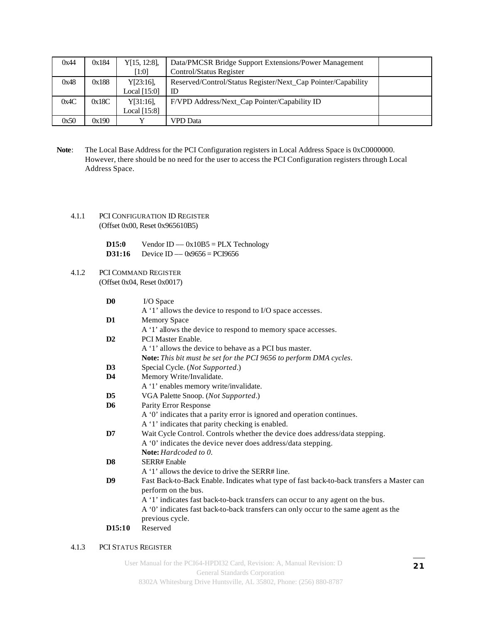| 0x44 | 0x184 | Y[15, 12:8],   | Data/PMCSR Bridge Support Extensions/Power Management        |  |
|------|-------|----------------|--------------------------------------------------------------|--|
|      |       | $[1:0]$        | Control/Status Register                                      |  |
| 0x48 | 0x188 | Y[23:16],      | Reserved/Control/Status Register/Next_Cap Pointer/Capability |  |
|      |       | Local [15:0]   | ID                                                           |  |
| 0x4C | 0x18C | Y[31:16],      | F/VPD Address/Next_Cap Pointer/Capability ID                 |  |
|      |       | Local $[15:8]$ |                                                              |  |
| 0x50 | 0x190 |                | VPD Data                                                     |  |

- Note: The Local Base Address for the PCI Configuration registers in Local Address Space is 0xC0000000. However, there should be no need for the user to access the PCI Configuration registers through Local Address Space.
	- 4.1.1 PCI CONFIGURATION ID REGISTER (Offset 0x00, Reset 0x965610B5)

| D15:0  | Vendor ID $-$ 0x10B5 = PLX Technology |
|--------|---------------------------------------|
| D31:16 | Device ID $-$ 0x9656 = PCI9656        |

4.1.2 PCI COMMAND REGISTER (Offset 0x04, Reset 0x0017)

| D0             | I/O Space                                                                                 |
|----------------|-------------------------------------------------------------------------------------------|
|                | A '1' allows the device to respond to I/O space accesses.                                 |
| D1             | <b>Memory Space</b>                                                                       |
|                | A '1' allows the device to respond to memory space accesses.                              |
| D <sub>2</sub> | <b>PCI Master Enable.</b>                                                                 |
|                | A '1' allows the device to behave as a PCI bus master.                                    |
|                | Note: This bit must be set for the PCI 9656 to perform DMA cycles.                        |
| D3             | Special Cycle. (Not Supported.)                                                           |
| D4             | Memory Write/Invalidate.                                                                  |
|                | A '1' enables memory write/invalidate.                                                    |
| D5             | VGA Palette Snoop. (Not Supported.)                                                       |
| D6             | Parity Error Response                                                                     |
|                | A '0' indicates that a parity error is ignored and operation continues.                   |
|                | A '1' indicates that parity checking is enabled.                                          |
| D7             | Wait Cycle Control. Controls whether the device does address/data stepping.               |
|                | A '0' indicates the device never does address/data stepping.                              |
|                | <b>Note:</b> Hardcoded to 0.                                                              |
| D8             | SERR# Enable                                                                              |
|                | A '1' allows the device to drive the SERR# line.                                          |
| D9             | Fast Back-to-Back Enable. Indicates what type of fast back-to-back transfers a Master can |
|                | perform on the bus.                                                                       |
|                | A '1' indicates fast back-to-back transfers can occur to any agent on the bus.            |
|                | A '0' indicates fast back-to-back transfers can only occur to the same agent as the       |
|                | previous cycle.                                                                           |
| D15:10         | Reserved                                                                                  |
|                |                                                                                           |

#### 4.1.3 PCI STATUS REGISTER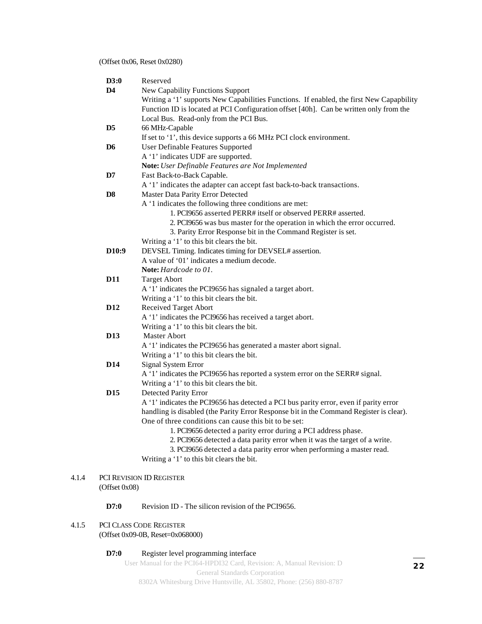#### (Offset 0x06, Reset 0x0280)

| D3:0               | Reserved                                                                                                                                        |
|--------------------|-------------------------------------------------------------------------------------------------------------------------------------------------|
| D <sub>4</sub>     | <b>New Capability Functions Support</b>                                                                                                         |
|                    | Writing a '1' supports New Capabilities Functions. If enabled, the first New Capapbility                                                        |
|                    | Function ID is located at PCI Configuration offset [40h]. Can be written only from the                                                          |
|                    | Local Bus. Read-only from the PCI Bus.                                                                                                          |
| D <sub>5</sub>     | 66 MHz-Capable                                                                                                                                  |
|                    | If set to '1', this device supports a 66 MHz PCI clock environment.                                                                             |
| D <sub>6</sub>     | User Definable Features Supported                                                                                                               |
|                    | A '1' indicates UDF are supported.                                                                                                              |
|                    | Note: User Definable Features are Not Implemented                                                                                               |
| D7                 | Fast Back-to-Back Capable.                                                                                                                      |
|                    | A '1' indicates the adapter can accept fast back-to-back transactions.                                                                          |
| D8                 | Master Data Parity Error Detected                                                                                                               |
|                    | A '1 indicates the following three conditions are met:                                                                                          |
|                    | 1. PCI9656 asserted PERR# itself or observed PERR# asserted.                                                                                    |
|                    | 2. PCI9656 was bus master for the operation in which the error occurred.                                                                        |
|                    | 3. Parity Error Response bit in the Command Register is set.                                                                                    |
|                    | Writing a '1' to this bit clears the bit.                                                                                                       |
| D <sub>10</sub> :9 | DEVSEL Timing. Indicates timing for DEVSEL# assertion.                                                                                          |
|                    | A value of '01' indicates a medium decode.                                                                                                      |
|                    | Note: Hardcode to 01.                                                                                                                           |
| <b>D11</b>         | <b>Target Abort</b>                                                                                                                             |
|                    | A '1' indicates the PCI9656 has signaled a target abort.                                                                                        |
|                    | Writing a '1' to this bit clears the bit.                                                                                                       |
| D <sub>12</sub>    |                                                                                                                                                 |
|                    | Received Target Abort                                                                                                                           |
|                    | A '1' indicates the PCI9656 has received a target abort.                                                                                        |
|                    | Writing a '1' to this bit clears the bit.<br>Master Abort                                                                                       |
| <b>D13</b>         |                                                                                                                                                 |
|                    | A '1' indicates the PCI9656 has generated a master abort signal.                                                                                |
|                    | Writing a '1' to this bit clears the bit.                                                                                                       |
| <b>D14</b>         | Signal System Error                                                                                                                             |
|                    | A '1' indicates the PCI9656 has reported a system error on the SERR# signal.                                                                    |
|                    | Writing a '1' to this bit clears the bit.                                                                                                       |
| D <sub>15</sub>    | <b>Detected Parity Error</b>                                                                                                                    |
|                    | A '1' indicates the PCI9656 has detected a PCI bus parity error, even if parity error                                                           |
|                    | handling is disabled (the Parity Error Response bit in the Command Register is clear).<br>One of three conditions can cause this bit to be set: |
|                    | 1. PCI9656 detected a parity error during a PCI address phase.                                                                                  |
|                    | 2. PCI9656 detected a data parity error when it was the target of a write.                                                                      |
|                    | 3. PCI9656 detected a data parity error when performing a master read.                                                                          |
|                    |                                                                                                                                                 |
|                    | Writing a '1' to this bit clears the bit.                                                                                                       |
|                    |                                                                                                                                                 |
|                    | PCI REVISION ID REGISTER                                                                                                                        |
| (Offset 0x08)      |                                                                                                                                                 |
| D7:0               | Revision ID - The silicon revision of the PCI9656.                                                                                              |
|                    |                                                                                                                                                 |

4.1.5 PCI CLASS CODE REGISTER (Offset 0x09-0B, Reset=0x068000)

 $4.1.4$ 

#### **D7:0** Register level programming interface

User Manual for the PCI64-HPDI32 Card, Revision: A, Manual Revision: D

General Standards Corporation 8302A Whitesburg Drive Huntsville, AL 35802, Phone: (256) 880-8787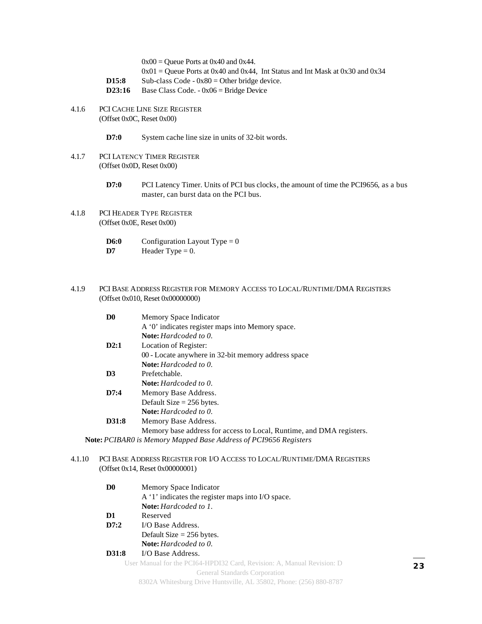$0x00 =$ Queue Ports at  $0x40$  and  $0x44$ .

- $0x01 =$ Queue Ports at 0x40 and 0x44, Int Status and Int Mask at 0x30 and 0x34
- **D15:8** Sub-class Code  $0x80$  = Other bridge device.
- **D23:16** Base Class Code. 0x06 = Bridge Device
- 4.1.6 PCI CACHE LINE SIZE REGISTER (Offset 0x0C, Reset 0x00)
	- **D7:0** System cache line size in units of 32-bit words.
- 4.1.7 PCI LATENCY TIMER REGISTER (Offset 0x0D, Reset 0x00)
	- **D7:0** PCI Latency Timer. Units of PCI bus clocks, the amount of time the PCI9656, as a bus master, can burst data on the PCI bus.
- 4.1.8 PCI HEADER TYPE REGISTER (Offset 0x0E, Reset 0x00)
	- **D6:0** Configuration Layout Type  $= 0$ **D7** Header Type  $= 0$ .

#### 4.1.9 PCI BASE ADDRESS REGISTER FOR MEMORY ACCESS TO LOCAL/RUNTIME/DMA REGISTERS (Offset 0x010, Reset 0x00000000)

| D <sub>0</sub> | Memory Space Indicator                                                                              |  |  |  |
|----------------|-----------------------------------------------------------------------------------------------------|--|--|--|
|                | A '0' indicates register maps into Memory space.                                                    |  |  |  |
|                | <b>Note:</b> Hardcoded to 0.                                                                        |  |  |  |
| D2:1           | Location of Register:                                                                               |  |  |  |
|                | 00 - Locate anywhere in 32-bit memory address space                                                 |  |  |  |
|                | <b>Note:</b> Hardcoded to 0.                                                                        |  |  |  |
| D <sub>3</sub> | Prefetchable.                                                                                       |  |  |  |
|                | <b>Note:</b> Hardcoded to 0.                                                                        |  |  |  |
| D7:4           | Memory Base Address.                                                                                |  |  |  |
|                | Default Size $= 256$ bytes.                                                                         |  |  |  |
|                | <b>Note:</b> Hardcoded to 0.                                                                        |  |  |  |
| D31:8          | Memory Base Address.                                                                                |  |  |  |
|                | Memory base address for access to Local, Runtime, and DMA registers.                                |  |  |  |
|                | $\overline{11}$ $\overline{11}$ $\overline{11}$ $\overline{11}$ $\overline{11}$<br>$\ell$ DOIGEF D. |  |  |  |

**Note:***PCIBAR0 is Memory Mapped Base Address of PCI9656 Registers*

#### 4.1.10 PCI BASE ADDRESS REGISTER FOR I/O ACCESS TO LOCAL/RUNTIME/DMA REGISTERS (Offset 0x14, Reset 0x00000001)

| D <sub>0</sub> | Memory Space Indicator                                                 |  |  |
|----------------|------------------------------------------------------------------------|--|--|
|                | A '1' indicates the register maps into I/O space.                      |  |  |
|                | <b>Note:</b> Hardcoded to 1.                                           |  |  |
| D1             | Reserved                                                               |  |  |
| D7:2           | I/O Base Address.                                                      |  |  |
|                | Default Size $= 256$ bytes.                                            |  |  |
|                | <b>Note:</b> Hardcoded to 0.                                           |  |  |
| D31:8          | I/O Base Address.                                                      |  |  |
|                | User Manual for the PCI64-HPDI32 Card, Revision: A, Manual Revision: D |  |  |
|                | <b>General Standards Corporation</b>                                   |  |  |
|                | 8302A Whitesburg Drive Huntsville, AL 35802, Phone: (256) 880-8787     |  |  |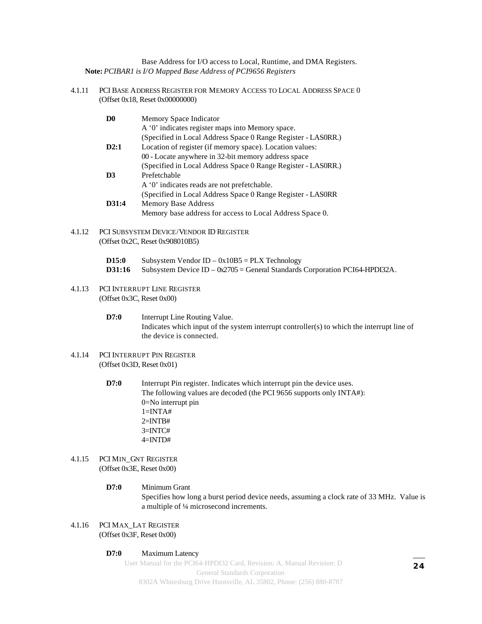Base Address for I/O access to Local, Runtime, and DMA Registers. **Note:***PCIBAR1 is I/O Mapped Base Address of PCI9656 Registers*

4.1.11 PCI BASE ADDRESS REGISTER FOR MEMORY ACCESS TO LOCAL ADDRESS SPACE 0 (Offset 0x18, Reset 0x00000000)

| D <sub>0</sub> | Memory Space Indicator                                        |
|----------------|---------------------------------------------------------------|
|                | A '0' indicates register maps into Memory space.              |
|                | (Specified in Local Address Space 0 Range Register - LASORR.) |
| D2:1           | Location of register (if memory space). Location values:      |
|                | 00 - Locate anywhere in 32-bit memory address space           |
|                | (Specified in Local Address Space 0 Range Register - LASORR.) |
| D <sub>3</sub> | Prefetchable                                                  |
|                | A '0' indicates reads are not prefetchable.                   |
|                | (Specified in Local Address Space 0 Range Register - LASORR)  |
| D31:4          | <b>Memory Base Address</b>                                    |
|                | Memory base address for access to Local Address Space 0.      |

- 4.1.12 PCI SUBSYSTEM DEVICE/VENDOR ID REGISTER (Offset 0x2C, Reset 0x908010B5)
	- **D15:0** Subsystem Vendor ID  $0x10B5 = PLX$  Technology **D31:16** Subsystem Device ID – 0x2705 = General Standards Corporation PCI64-HPDI32A.
- 4.1.13 PCI INTERRUPT LINE REGISTER (Offset 0x3C, Reset 0x00)
	- **D7:0** Interrupt Line Routing Value. Indicates which input of the system interrupt controller(s) to which the interrupt line of the device is connected.
- 4.1.14 PCI INTERRUPT PIN REGISTER (Offset 0x3D, Reset 0x01)
	- **D7:0** Interrupt Pin register. Indicates which interrupt pin the device uses. The following values are decoded (the PCI 9656 supports only INTA#): 0=No interrupt pin  $1=INTA#$  $2=INTB#$ 3=INTC# 4=INTD#
- 4.1.15 PCI MIN\_GNT REGISTER (Offset 0x3E, Reset 0x00)
	- **D7:0** Minimum Grant Specifies how long a burst period device needs, assuming a clock rate of 33 MHz. Value is a multiple of ¼ microsecond increments.
- 4.1.16 PCI MAX\_LAT REGISTER (Offset 0x3F, Reset 0x00)

#### **D7:0** Maximum Latency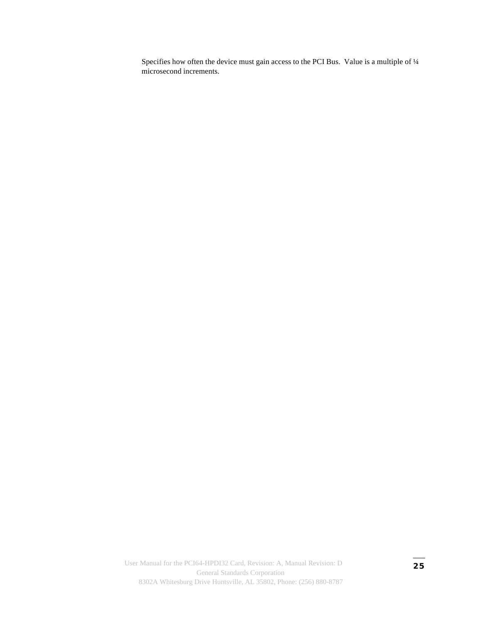Specifies how often the device must gain access to the PCI Bus. Value is a multiple of ¼ microsecond increments.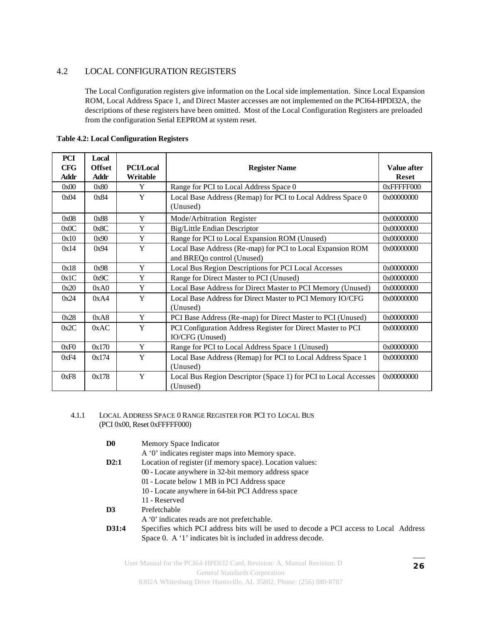#### 4.2 LOCAL CONFIGURATION REGISTERS

The Local Configuration registers give information on the Local side implementation. Since Local Expansion ROM, Local Address Space 1, and Direct Master accesses are not implemented on the PCI64-HPDI32A, the descriptions of these registers have been omitted. Most of the Local Configuration Registers are preloaded from the configuration Serial EEPROM at system reset.

| <b>PCI</b>  | Local         |                  |                                                                                          |              |
|-------------|---------------|------------------|------------------------------------------------------------------------------------------|--------------|
| <b>CFG</b>  | <b>Offset</b> | <b>PCI/Local</b> | <b>Register Name</b>                                                                     | Value after  |
| <b>Addr</b> | Addr          | Writable         |                                                                                          | <b>Reset</b> |
| 0x00        | 0x80          | Y                | Range for PCI to Local Address Space 0                                                   | 0xFFFFF000   |
| 0x04        | 0x84          | Y                | Local Base Address (Remap) for PCI to Local Address Space 0<br>(Unused)                  | 0x00000000   |
| 0x08        | 0x88          | Y                | Mode/Arbitration Register                                                                | 0x00000000   |
| 0x0C        | 0x8C          | Y                | Big/Little Endian Descriptor                                                             | 0x00000000   |
| 0x10        | 0x90          | Y                | Range for PCI to Local Expansion ROM (Unused)                                            | 0x00000000   |
| 0x14        | 0x94          | Y                | Local Base Address (Re-map) for PCI to Local Expansion ROM<br>and BREQo control (Unused) | 0x00000000   |
| 0x18        | 0x98          | Y                | Local Bus Region Descriptions for PCI Local Accesses                                     | 0x00000000   |
| 0x1C        | 0x9C          | Y                | Range for Direct Master to PCI (Unused)                                                  | 0x00000000   |
| 0x20        | 0xA0          | Y                | Local Base Address for Direct Master to PCI Memory (Unused)                              | 0x00000000   |
| 0x24        | 0xA4          | Y                | Local Base Address for Direct Master to PCI Memory IO/CFG<br>(Unused)                    | 0x00000000   |
| 0x28        | 0xA8          | Y                | PCI Base Address (Re-map) for Direct Master to PCI (Unused)                              | 0x00000000   |
| 0x2C        | 0xAC          | Y                | PCI Configuration Address Register for Direct Master to PCI<br>IO/CFG (Unused)           | 0x00000000   |
| 0xF0        | 0x170         | Y                | Range for PCI to Local Address Space 1 (Unused)                                          | 0x00000000   |
| 0xF4        | 0x174         | Y                | Local Base Address (Remap) for PCI to Local Address Space 1<br>(Unused)                  | 0x00000000   |
| 0xF8        | 0x178         | Y                | Local Bus Region Descriptor (Space 1) for PCI to Local Accesses<br>(Unused)              | 0x00000000   |

**Table 4.2: Local Configuration Registers**

#### 4.1.1 LOCAL ADDRESS SPACE 0 RANGE REGISTER FOR PCI TO LOCAL BUS (PCI 0x00, Reset 0xFFFFF000)

**D0** Memory Space Indicator

A '0' indicates register maps into Memory space.

- **D2:1** Location of register (if memory space). Location values:
	- 00 Locate anywhere in 32-bit memory address space
		- 01 Locate below 1 MB in PCI Address space
		- 10 Locate anywhere in 64-bit PCI Address space
	- 11 Reserved
- **D3** Prefetchable
	- A '0' indicates reads are not prefetchable.
- **D31:4** Specifies which PCI address bits will be used to decode a PCI access to Local Address Space 0. A '1' indicates bit is included in address decode.

User Manual for the PCI64-HPDI32 Card, Revision: A, Manual Revision: D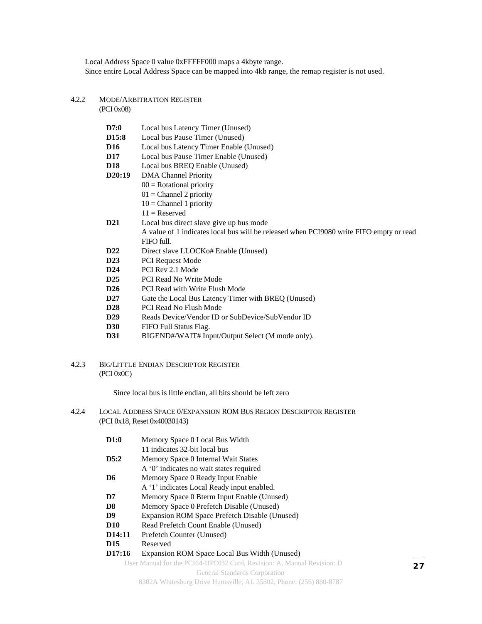Local Address Space 0 value 0xFFFFF000 maps a 4kbyte range. Since entire Local Address Space can be mapped into 4kb range, the remap register is not used.

#### 4.2.2 MODE/ARBITRATION REGISTER

(PCI 0x08)

| D7:0               | Local bus Latency Timer (Unused)                                                        |
|--------------------|-----------------------------------------------------------------------------------------|
| D <sub>15</sub> :8 | Local bus Pause Timer (Unused)                                                          |
| <b>D16</b>         | Local bus Latency Timer Enable (Unused)                                                 |
| <b>D17</b>         | Local bus Pause Timer Enable (Unused)                                                   |
| <b>D18</b>         | Local bus BREQ Enable (Unused)                                                          |
| D20:19             | <b>DMA</b> Channel Priority                                                             |
|                    | $00 =$ Rotational priority                                                              |
|                    | $01 =$ Channel 2 priority                                                               |
|                    | $10 =$ Channel 1 priority                                                               |
|                    | $11 =$ Reserved                                                                         |
| <b>D21</b>         | Local bus direct slave give up bus mode                                                 |
|                    | A value of 1 indicates local bus will be released when PCI9080 write FIFO empty or read |
|                    | FIFO full.                                                                              |
| D <sub>22</sub>    | Direct slave LLOCKo# Enable (Unused)                                                    |
| D23                | <b>PCI Request Mode</b>                                                                 |
| D <sub>24</sub>    | PCI Rev 2.1 Mode                                                                        |
| D <sub>25</sub>    | PCI Read No Write Mode                                                                  |
| D <sub>26</sub>    | PCI Read with Write Flush Mode                                                          |
| D <sub>27</sub>    | Gate the Local Bus Latency Timer with BREQ (Unused)                                     |
| <b>D28</b>         | PCI Read No Flush Mode                                                                  |
| D <sub>29</sub>    | Reads Device/Vendor ID or SubDevice/SubVendor ID                                        |

- **D30** FIFO Full Status Flag.
- **D31** BIGEND#/WAIT# Input/Output Select (M mode only).
- 4.2.3 BIG/LITTLE ENDIAN DESCRIPTOR REGISTER (PCI 0x0C)

Since local bus is little endian, all bits should be left zero

4.2.4 LOCAL ADDRESS SPACE 0/EXPANSION ROM BUS REGION DESCRIPTOR REGISTER (PCI 0x18, Reset 0x40030143)

| D1:0   | Memory Space 0 Local Bus Width                                         |  |  |  |  |
|--------|------------------------------------------------------------------------|--|--|--|--|
|        | 11 indicates 32-bit local bus                                          |  |  |  |  |
| D5:2   | Memory Space 0 Internal Wait States                                    |  |  |  |  |
|        | A '0' indicates no wait states required                                |  |  |  |  |
| D6     | Memory Space 0 Ready Input Enable                                      |  |  |  |  |
|        | A '1' indicates Local Ready input enabled.                             |  |  |  |  |
| D7     | Memory Space 0 Bterm Input Enable (Unused)                             |  |  |  |  |
| D8     | Memory Space 0 Prefetch Disable (Unused)                               |  |  |  |  |
| D9     | Expansion ROM Space Prefetch Disable (Unused)                          |  |  |  |  |
| D10    | Read Prefetch Count Enable (Unused)                                    |  |  |  |  |
| D14:11 | Prefetch Counter (Unused)                                              |  |  |  |  |
| D15    | Reserved                                                               |  |  |  |  |
| D17:16 | Expansion ROM Space Local Bus Width (Unused)                           |  |  |  |  |
|        | User Manual for the PCI64-HPDI32 Card, Revision: A, Manual Revision: D |  |  |  |  |
|        | <b>General Standards Corporation</b>                                   |  |  |  |  |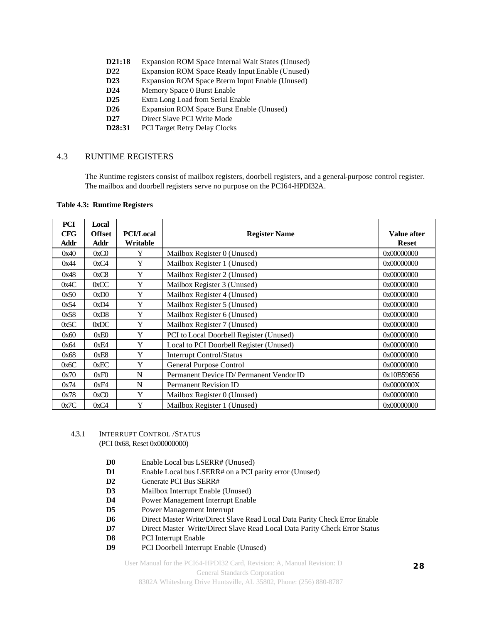- **D21:18** Expansion ROM Space Internal Wait States (Unused)
- **D22** Expansion ROM Space Ready Input Enable (Unused)
- **D23** Expansion ROM Space Bterm Input Enable (Unused)
- **D24** Memory Space 0 Burst Enable
- **D25** Extra Long Load from Serial Enable
- **D26** Expansion ROM Space Burst Enable (Unused)
- **D27** Direct Slave PCI Write Mode
- **D28:31** PCI Target Retry Delay Clocks

#### 4.3 RUNTIME REGISTERS

The Runtime registers consist of mailbox registers, doorbell registers, and a general-purpose control register. The mailbox and doorbell registers serve no purpose on the PCI64-HPDI32A.

| PCI         | Local         |                  |                                         |              |
|-------------|---------------|------------------|-----------------------------------------|--------------|
| <b>CFG</b>  | <b>Offset</b> | <b>PCI/Local</b> | <b>Register Name</b>                    | Value after  |
| <b>Addr</b> | Addr          | Writable         |                                         | <b>Reset</b> |
| 0x40        | 0xC0          | Y                | Mailbox Register 0 (Unused)             | 0x00000000   |
| 0x44        | 0xC4          | Y                | Mailbox Register 1 (Unused)             | 0x00000000   |
| 0x48        | 0xC8          | Y                | Mailbox Register 2 (Unused)             | 0x00000000   |
| 0x4C        | 0xCC          | Y                | Mailbox Register 3 (Unused)             | 0x00000000   |
| 0x50        | 0xD0          | Y                | Mailbox Register 4 (Unused)             | 0x00000000   |
| 0x54        | 0xD4          | Y                | Mailbox Register 5 (Unused)             | 0x00000000   |
| 0x58        | 0xD8          | Y                | Mailbox Register 6 (Unused)             | 0x00000000   |
| 0x5C        | 0xDC          | Y                | Mailbox Register 7 (Unused)             | 0x00000000   |
| 0x60        | 0xE0          | Y                | PCI to Local Doorbell Register (Unused) | 0x00000000   |
| 0x64        | 0xE4          | Y                | Local to PCI Doorbell Register (Unused) | 0x00000000   |
| 0x68        | 0xE8          | Y                | <b>Interrupt Control/Status</b>         | 0x00000000   |
| 0x6C        | 0xEC          | Y                | <b>General Purpose Control</b>          | 0x00000000   |
| 0x70        | 0xF0          | N                | Permanent Device ID/Permanent Vendor ID | 0x10B59656   |
| 0x74        | 0xF4          | N                | <b>Permanent Revision ID</b>            | 0x0000000X   |
| 0x78        | 0xC0          | Y                | Mailbox Register 0 (Unused)             | 0x00000000   |
| 0x7C        | 0xC4          | Y                | Mailbox Register 1 (Unused)             | 0x00000000   |

#### 4.3.1 INTERRUPT CONTROL /STATUS (PCI 0x68, Reset 0x00000000)

- **D0** Enable Local bus LSERR# (Unused)
- **D1** Enable Local bus LSERR# on a PCI parity error (Unused)
- **D2** Generate PCI Bus SERR#
- **D3** Mailbox Interrupt Enable (Unused)
- **D4** Power Management Interrupt Enable
- **D5** Power Management Interrupt
- **D6** Direct Master Write/Direct Slave Read Local Data Parity Check Error Enable
- **D7** Direct Master Write/Direct Slave Read Local Data Parity Check Error Status
- **D8** PCI Interrupt Enable
- **D9** PCI Doorbell Interrupt Enable (Unused)

User Manual for the PCI64-HPDI32 Card, Revision: A, Manual Revision: D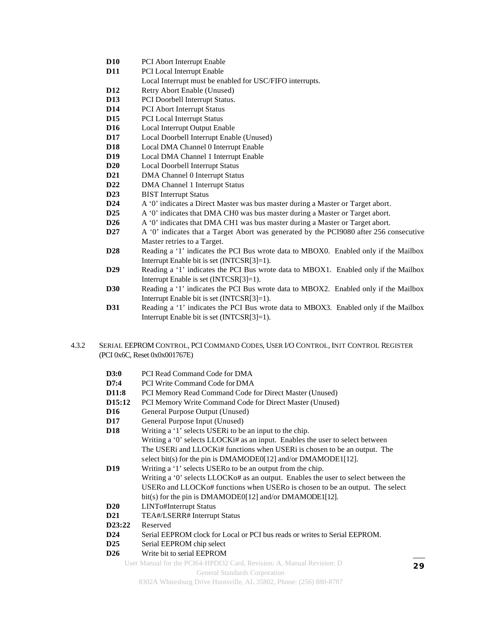- **D10** PCI Abort Interrupt Enable
- **D11** PCI Local Interrupt Enable
	- Local Interrupt must be enabled for USC/FIFO interrupts.
- **D12** Retry Abort Enable (Unused)
- **D13** PCI Doorbell Interrupt Status.
- **D14** PCI Abort Interrupt Status
- **D15** PCI Local Interrupt Status
- **D16** Local Interrupt Output Enable
- **D17** Local Doorbell Interrupt Enable (Unused)
- **D18** Local DMA Channel 0 Interrupt Enable
- **D19** Local DMA Channel 1 Interrupt Enable
- **D20** Local Doorbell Interrupt Status
- **D21** DMA Channel 0 Interrupt Status
- **D22** DMA Channel 1 Interrupt Status
- **D23** BIST Interrupt Status
- **D24** A '0' indicates a Direct Master was bus master during a Master or Target abort.
- **D25** A '0' indicates that DMA CHO was bus master during a Master or Target abort.
- **D26** A '0' indicates that DMA CH1 was bus master during a Master or Target abort.
- **D27** A '0' indicates that a Target Abort was generated by the PCI9080 after 256 consecutive Master retries to a Target.
- **D28** Reading a '1' indicates the PCI Bus wrote data to MBOX0. Enabled only if the Mailbox Interrupt Enable bit is set (INTCSR[3]=1).
- **D29** Reading a '1' indicates the PCI Bus wrote data to MBOX1. Enabled only if the Mailbox Interrupt Enable is set (INTCSR[3]=1).
- **D30** Reading a '1' indicates the PCI Bus wrote data to MBOX2. Enabled only if the Mailbox Interrupt Enable bit is set (INTCSR[3]=1).
- **D31** Reading a '1' indicates the PCI Bus wrote data to MBOX3. Enabled only if the Mailbox Interrupt Enable bit is set (INTCSR[3]=1).
- 4.3.2 SERIAL EEPROM CONTROL, PCI COMMAND CODES, USER I/O CONTROL, INIT CONTROL REGISTER (PCI 0x6C, Reset 0x0x001767E)
	- **D3:0** PCI Read Command Code for DMA
	- **D7:4** PCI Write Command Code for DMA
	- **D11:8** PCI Memory Read Command Code for Direct Master (Unused)
	- **D15:12** PCI Memory Write Command Code for Direct Master (Unused)
	- **D16** General Purpose Output (Unused)
	- **D17** General Purpose Input (Unused)
	- **D18** Writing a '1' selects USERi to be an input to the chip. Writing a '0' selects LLOCKi# as an input. Enables the user to select between The USERi and LLOCKi# functions when USERi is chosen to be an output. The select bit(s) for the pin is DMAMODE0[12] and/or DMAMODE1[12].
	- **D19** Writing a '1' selects USER to be an output from the chip. Writing a '0' selects LLOCKo# as an output. Enables the user to select between the USERo and LLOCKo# functions when USERo is chosen to be an output. The select bit(s) for the pin is DMAMODE0[12] and/or DMAMODE1[12].
	- **D20** LINTo#Interrupt Status
	- **D21** TEA#/LSERR# Interrupt Status
	- **D23:22** Reserved
	- **D24** Serial EEPROM clock for Local or PCI bus reads or writes to Serial EEPROM.
	- **D25** Serial EEPROM chip select
	- **D26** Write bit to serial EEPROM

User Manual for the PCI64-HPDI32 Card, Revision: A, Manual Revision: D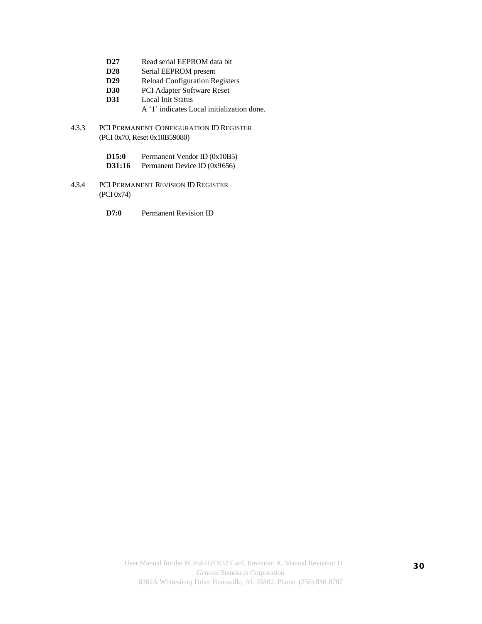- **D27** Read serial EEPROM data bit
- **D28** Serial EEPROM present
- **D29** Reload Configuration Registers
- **D30** PCI Adapter Software Reset
- **D31** Local Init Status
	- A '1' indicates Local initialization done.
- 4.3.3 PCI PERMANENT CONFIGURATION ID REGISTER (PCI 0x70, Reset 0x10B59080)
	- **D15:0** Permanent Vendor ID (0x10B5)
	- **D31:16** Permanent Device ID (0x9656)
- 4.3.4 PCI PERMANENT REVISION ID REGISTER (PCI 0x74)
	- **D7:0** Permanent Revision ID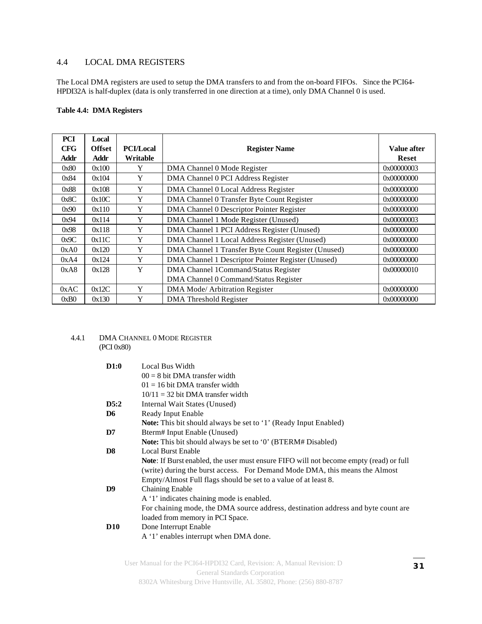#### 4.4 LOCAL DMA REGISTERS

The Local DMA registers are used to setup the DMA transfers to and from the on-board FIFOs. Since the PCI64- HPDI32A is half-duplex (data is only transferred in one direction at a time), only DMA Channel 0 is used.

#### **Table 4.4: DMA Registers**

| <b>PCI</b> | Local         |                  |                                                     |              |
|------------|---------------|------------------|-----------------------------------------------------|--------------|
| <b>CFG</b> | <b>Offset</b> | <b>PCI/Local</b> | <b>Register Name</b>                                | Value after  |
| Addr       | Addr          | Writable         |                                                     | <b>Reset</b> |
| 0x80       | 0x100         | Y                | DMA Channel 0 Mode Register                         | 0x00000003   |
| 0x84       | 0x104         | Y                | DMA Channel 0 PCI Address Register                  | 0x00000000   |
| 0x88       | 0x108         | Y                | DMA Channel 0 Local Address Register                | 0x00000000   |
| 0x8C       | 0x10C         | Y                | DMA Channel 0 Transfer Byte Count Register          | 0x00000000   |
| 0x90       | 0x110         | Y                | DMA Channel 0 Descriptor Pointer Register           | 0x00000000   |
| 0x94       | 0x114         | Y                | DMA Channel 1 Mode Register (Unused)                | 0x00000003   |
| 0x98       | 0x118         | Y                | DMA Channel 1 PCI Address Register (Unused)         | 0x00000000   |
| 0x9C       | 0x11C         | Y                | DMA Channel 1 Local Address Register (Unused)       | 0x00000000   |
| 0xA0       | 0x120         | Y                | DMA Channel 1 Transfer Byte Count Register (Unused) | 0x00000000   |
| 0xA4       | 0x124         | Y                | DMA Channel 1 Descriptor Pointer Register (Unused)  | 0x00000000   |
| 0xA8       | 0x128         | Y                | DMA Channel 1Command/Status Register                | 0x00000010   |
|            |               |                  | DMA Channel 0 Command/Status Register               |              |
| 0xAC       | 0x12C         | Y                | DMA Mode/ Arbitration Register                      | 0x00000000   |
| 0xB0       | 0x130         | Y                | <b>DMA</b> Threshold Register                       | 0x00000000   |

4.4.1 DMA CHANNEL 0 MODE REGISTER (PCI 0x80)

| D1:0           | Local Bus Width                                                                               |  |
|----------------|-----------------------------------------------------------------------------------------------|--|
|                | $00 = 8$ bit DMA transfer width                                                               |  |
|                | $01 = 16$ bit DMA transfer width                                                              |  |
|                | $10/11 = 32$ bit DMA transfer width                                                           |  |
| D5:2           | Internal Wait States (Unused)                                                                 |  |
| D <sub>6</sub> | Ready Input Enable                                                                            |  |
|                | <b>Note:</b> This bit should always be set to '1' (Ready Input Enabled)                       |  |
| D7             | Bterm# Input Enable (Unused)                                                                  |  |
|                | <b>Note:</b> This bit should always be set to '0' (BTERM# Disabled)                           |  |
| D <sub>8</sub> | <b>Local Burst Enable</b>                                                                     |  |
|                | <b>Note:</b> If Burst enabled, the user must ensure FIFO will not become empty (read) or full |  |
|                | (write) during the burst access. For Demand Mode DMA, this means the Almost                   |  |
|                | Empty/Almost Full flags should be set to a value of at least 8.                               |  |
| D <sub>9</sub> | <b>Chaining Enable</b>                                                                        |  |
|                | A '1' indicates chaining mode is enabled.                                                     |  |
|                | For chaining mode, the DMA source address, destination address and byte count are             |  |
|                | loaded from memory in PCI Space.                                                              |  |
| <b>D10</b>     | Done Interrupt Enable                                                                         |  |
|                | A '1' enables interrupt when DMA done.                                                        |  |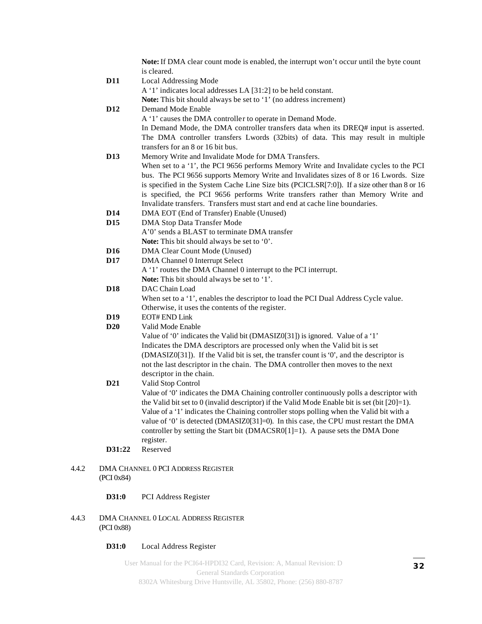|                 | Note: If DMA clear count mode is enabled, the interrupt won't occur until the byte count         |
|-----------------|--------------------------------------------------------------------------------------------------|
|                 | is cleared.                                                                                      |
| <b>D11</b>      | <b>Local Addressing Mode</b>                                                                     |
|                 | A '1' indicates local addresses LA [31:2] to be held constant.                                   |
|                 | Note: This bit should always be set to '1' (no address increment)                                |
| D <sub>12</sub> | Demand Mode Enable                                                                               |
|                 | A '1' causes the DMA controller to operate in Demand Mode.                                       |
|                 | In Demand Mode, the DMA controller transfers data when its DREQ# input is asserted.              |
|                 | The DMA controller transfers Lwords (32bits) of data. This may result in multiple                |
|                 | transfers for an 8 or 16 bit bus.                                                                |
| <b>D13</b>      | Memory Write and Invalidate Mode for DMA Transfers.                                              |
|                 | When set to a '1', the PCI 9656 performs Memory Write and Invalidate cycles to the PCI           |
|                 | bus. The PCI 9656 supports Memory Write and Invalidates sizes of 8 or 16 Lwords. Size            |
|                 | is specified in the System Cache Line Size bits (PCICLSR[7:0]). If a size other than 8 or 16     |
|                 | is specified, the PCI 9656 performs Write transfers rather than Memory Write and                 |
|                 | Invalidate transfers. Transfers must start and end at cache line boundaries.                     |
| <b>D14</b>      | DMA EOT (End of Transfer) Enable (Unused)                                                        |
| D <sub>15</sub> | DMA Stop Data Transfer Mode                                                                      |
|                 | A'0' sends a BLAST to terminate DMA transfer                                                     |
|                 | Note: This bit should always be set to '0'.                                                      |
| D <sub>16</sub> | <b>DMA Clear Count Mode (Unused)</b>                                                             |
| <b>D17</b>      | DMA Channel 0 Interrupt Select                                                                   |
|                 | A '1' routes the DMA Channel 0 interrupt to the PCI interrupt.                                   |
|                 | Note: This bit should always be set to '1'.                                                      |
| <b>D18</b>      | DAC Chain Load                                                                                   |
|                 | When set to a '1', enables the descriptor to load the PCI Dual Address Cycle value.              |
|                 | Otherwise, it uses the contents of the register.                                                 |
| D <sub>19</sub> | <b>EOT# END Link</b>                                                                             |
| <b>D20</b>      | Valid Mode Enable                                                                                |
|                 | Value of '0' indicates the Valid bit (DMASIZ0[31]) is ignored. Value of a '1'                    |
|                 | Indicates the DMA descriptors are processed only when the Valid bit is set                       |
|                 | (DMASIZ0[31]). If the Valid bit is set, the transfer count is '0', and the descriptor is         |
|                 | not the last descriptor in the chain. The DMA controller then moves to the next                  |
|                 | descriptor in the chain.                                                                         |
| D <sub>21</sub> | Valid Stop Control                                                                               |
|                 | Value of '0' indicates the DMA Chaining controller continuously polls a descriptor with          |
|                 | the Valid bit set to 0 (invalid descriptor) if the Valid Mode Enable bit is set (bit $[20]=1$ ). |
|                 | Value of a '1' indicates the Chaining controller stops polling when the Valid bit with a         |
|                 | value of '0' is detected (DMASIZ0[31]=0). In this case, the CPU must restart the DMA             |
|                 | controller by setting the Start bit (DMACSR0[1]=1). A pause sets the DMA Done                    |
|                 | register.                                                                                        |
| D31:22          | Reserved                                                                                         |

4.4.2 DMA CHANNEL 0 PCI ADDRESS REGISTER (PCI 0x84)

#### **D31:0** PCI Address Register

4.4.3 DMA CHANNEL 0 LOCAL ADDRESS REGISTER (PCI 0x88)

#### **D31:0** Local Address Register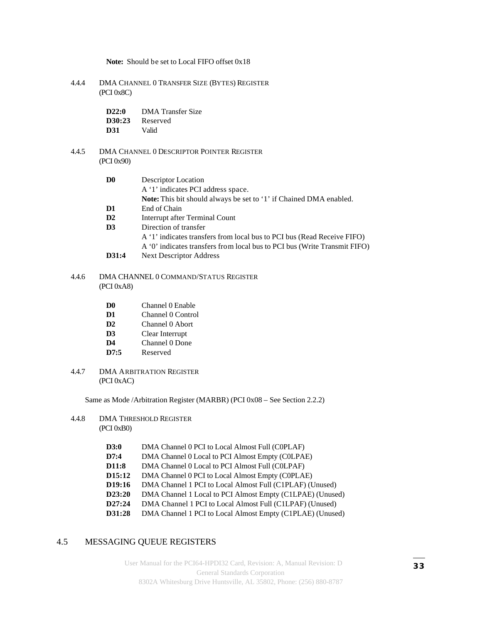**Note:** Should be set to Local FIFO offset 0x18

- 4.4.4 DMA CHANNEL 0 TRANSFER SIZE (BYTES) REGISTER (PCI 0x8C)
	- **D22:0** DMA Transfer Size **D30:23** Reserved **D31** Valid

#### 4.4.5 DMA CHANNEL 0 DESCRIPTOR POINTER REGISTER (PCI 0x90)

| D0    | Descriptor Location                                                       |  |  |
|-------|---------------------------------------------------------------------------|--|--|
|       | A '1' indicates PCI address space.                                        |  |  |
|       | Note: This bit should always be set to '1' if Chained DMA enabled.        |  |  |
| D1    | End of Chain                                                              |  |  |
| D2    | Interrupt after Terminal Count                                            |  |  |
| D3    | Direction of transfer                                                     |  |  |
|       | A '1' indicates transfers from local bus to PCI bus (Read Receive FIFO)   |  |  |
|       | A '0' indicates transfers from local bus to PCI bus (Write Transmit FIFO) |  |  |
| D31:4 | <b>Next Descriptor Address</b>                                            |  |  |

#### 4.4.6 DMA CHANNEL 0 COMMAND/STATUS REGISTER (PCI 0xA8)

- **D0** Channel 0 Enable
- **D1** Channel 0 Control
- **D2** Channel 0 Abort
- **D3** Clear Interrupt
- **D4** Channel 0 Done
- **D7:5** Reserved
- 4.4.7 DMA ARBITRATION REGISTER (PCI 0xAC)

Same as Mode /Arbitration Register (MARBR) (PCI 0x08 – See Section 2.2.2)

- 4.4.8 DMA THRESHOLD REGISTER (PCI 0xB0)
	- **D3:0** DMA Channel 0 PCI to Local Almost Full (C0PLAF)
	- **D7:4** DMA Channel 0 Local to PCI Almost Empty (C0LPAE)
	- **D11:8** DMA Channel 0 Local to PCI Almost Full (C0LPAF)
	- **D15:12** DMA Channel 0 PCI to Local Almost Empty (C0PLAE)
	- **D19:16** DMA Channel 1 PCI to Local Almost Full (C1PLAF) (Unused)
	- **D23:20** DMA Channel 1 Local to PCI Almost Empty (C1LPAE) (Unused)
	- **D27:24** DMA Channel 1 PCI to Local Almost Full (C1LPAF) (Unused)
	- **D31:28** DMA Channel 1 PCI to Local Almost Empty (C1PLAE) (Unused)

#### 4.5 MESSAGING QUEUE REGISTERS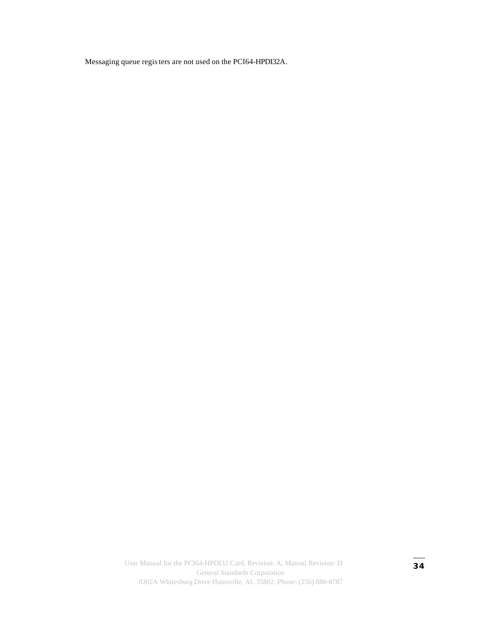Messaging queue registers are not used on the PCI64-HPDI32A.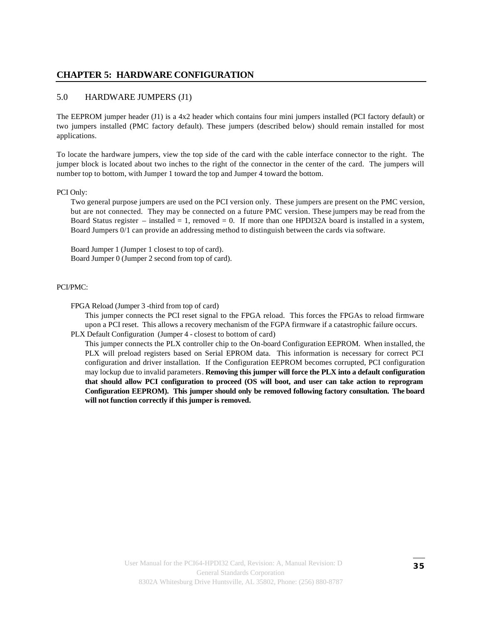#### **CHAPTER 5: HARDWARE CONFIGURATION**

#### 5.0 HARDWARE JUMPERS (J1)

The EEPROM jumper header (J1) is a 4x2 header which contains four mini jumpers installed (PCI factory default) or two jumpers installed (PMC factory default). These jumpers (described below) should remain installed for most applications.

To locate the hardware jumpers, view the top side of the card with the cable interface connector to the right. The jumper block is located about two inches to the right of the connector in the center of the card. The jumpers will number top to bottom, with Jumper 1 toward the top and Jumper 4 toward the bottom.

#### PCI Only:

Two general purpose jumpers are used on the PCI version only. These jumpers are present on the PMC version, but are not connected. They may be connected on a future PMC version. These jumpers may be read from the Board Status register – installed = 1, removed = 0. If more than one HPDI32A board is installed in a system, Board Jumpers 0/1 can provide an addressing method to distinguish between the cards via software.

Board Jumper 1 (Jumper 1 closest to top of card). Board Jumper 0 (Jumper 2 second from top of card).

#### PCI/PMC:

FPGA Reload (Jumper 3 -third from top of card)

This jumper connects the PCI reset signal to the FPGA reload. This forces the FPGAs to reload firmware upon a PCI reset. This allows a recovery mechanism of the FGPA firmware if a catastrophic failure occurs. PLX Default Configuration (Jumper 4 - closest to bottom of card)

This jumper connects the PLX controller chip to the On-board Configuration EEPROM. When installed, the PLX will preload registers based on Serial EPROM data. This information is necessary for correct PCI configuration and driver installation. If the Configuration EEPROM becomes corrupted, PCI configuration may lockup due to invalid parameters. **Removing this jumper will force the PLX into a default configuration that should allow PCI configuration to proceed (OS will boot, and user can take action to reprogram Configuration EEPROM). This jumper should only be removed following factory consultation. The board will not function correctly if this jumper is removed.**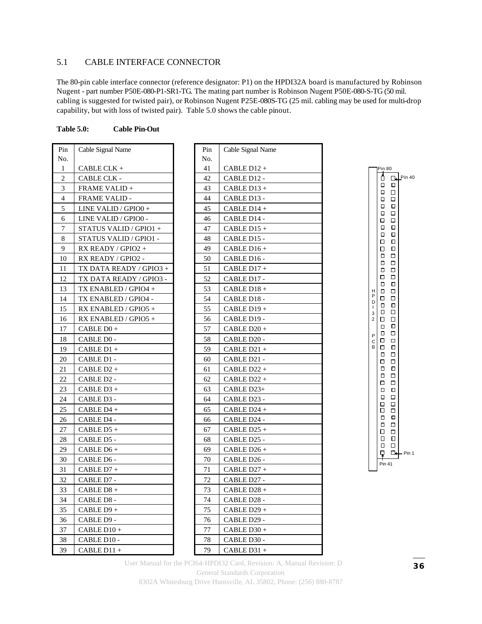#### 5.1 CABLE INTERFACE CONNECTOR

The 80-pin cable interface connector (reference designator: P1) on the HPDI32A board is manufactured by Robinson Nugent - part number P50E-080-P1-SR1-TG. The mating part number is Robinson Nugent P50E-080-S-TG (50 mil. cabling is suggested for twisted pair), or Robinson Nugent P25E-080S-TG (25 mil. cabling may be used for multi-drop capability, but with loss of twisted pair). Table 5.0 shows the cable pinout.

#### **Table 5.0: Cable Pin-Out**

| Pin            | Cable Signal Name       | Pin | Cable Signal Na |
|----------------|-------------------------|-----|-----------------|
| No.            |                         | No. |                 |
| 1              | CABLE CLK +             | 41  | CABLE D12 +     |
| $\overline{c}$ | CABLE CLK -             | 42  | CABLE D12 -     |
| 3              | <b>FRAME VALID +</b>    | 43  | CABLE D13+      |
| 4              | <b>FRAME VALID -</b>    | 44  | CABLE D13 -     |
| 5              | LINE VALID / GPIO0 +    | 45  | CABLE D14 +     |
| 6              | LINE VALID / GPIO0 -    | 46  | CABLE D14 -     |
| 7              | STATUS VALID / GPIO1 +  | 47  | $CABLE$ D15 +   |
| 8              | STATUS VALID / GPIO1 -  | 48  | CABLE D15 -     |
| 9              | RX READY / GPIO2 +      | 49  | CABLE D16+      |
| 10             | RX READY / GPIO2 -      | 50  | CABLE D16 -     |
| 11             | TX DATA READY / GPIO3 + | 51  | CABLE D17+      |
| 12             | TX DATA READY / GPIO3 - | 52  | CABLE D17 -     |
| 13             | TX ENABLED / GPIO4 +    | 53  | CABLE D18+      |
| 14             | TX ENABLED / GPIO4 -    | 54  | CABLE D18 -     |
| 15             | RX ENABLED / GPIO5 +    | 55  | CABLE D19+      |
| 16             | RX ENABLED / GPIO5 +    | 56  | CABLE D19 -     |
| 17             | CABLE D0+               | 57  | CABLE D20+      |
| 18             | CABLE D0 -              | 58  | CABLE D20 -     |
| 19             | CABLE D1+               | 59  | CABLE D21 +     |
| 20             | CABLE D1 -              | 60  | CABLE D21 -     |
| 21             | $CABLE D2 +$            | 61  | $CABLE D22 +$   |
| 22             | CABLE D2 -              | 62  | $CABLE D22 +$   |
| 23             | CABLE D3+               | 63  | CABLE D23+      |
| 24             | CABLE D3 -              | 64  | CABLE D23 -     |
| 25             | CABLE D4+               | 65  | CABLE D24 +     |
| 26             | CABLE D4 -              | 66  | CABLE D24 -     |
| 27             | CABLE D5+               | 67  | CABLE D25 +     |
| 28             | CABLE D5 -              | 68  | CABLE D25 -     |
| 29             | CABLE D6+               | 69  | CABLE D26+      |
| 30             | CABLE D6 -              | 70  | CABLE D26 -     |
| 31             | CABLE D7+               | 71  | $CABLE D27 +$   |
| 32             | CABLE D7 -              | 72  | CABLE D27 -     |
| 33             | CABLE D8 +              | 73  | CABLE D28 +     |
| 34             | CABLE D8 -              | 74  | CABLE D28 -     |
| 35             | CABLE D9+               | 75  | CABLE D29 +     |
| 36             | CABLE D9 -              | 76  | CABLE D29 -     |
| 37             | CABLE D10+              | 77  | CABLE D30+      |
| 38             | CABLE D10 -             | 78  | CABLE D30 -     |
| 39             | CABLE D11 +             | 79  | CABLE D31 +     |

| Pin | Cable Signal Name |
|-----|-------------------|
| No. |                   |
| 41  | CABLE D12 +       |
| 42  | CABLE D12 -       |
| 43  | $CABLE$ D13 +     |
| 44  | CABLE D13 -       |
| 45  | CABLE D14+        |
| 46  | CABLE D14 -       |
| 47  | $CABLE$ D15 +     |
| 48  | CABLE D15 -       |
| 49  | CABLE D16+        |
| 50  | CABLE D16 -       |
| 51  | CABLE D17 +       |
| 52  | CABLE D17 -       |
| 53  | CABLE D18+        |
| 54  | CABLE D18 -       |
| 55  | CABLE D19+        |
| 56  | CABLE D19 -       |
| 57  | $CABLE D20 +$     |
| 58  | CABLE D20 -       |
| 59  | CABLE D21+        |
| 60  | CABLE D21 -       |
| 61  | CABLE D22+        |
| 62  | CABLE D22 +       |
| 63  | CABLE D23+        |
| 64  | CABLE D23 -       |
| 65  | CABLE D24 +       |
| 66  | CABLE D24 -       |
| 67  | CABLE $D25 +$     |
| 68  | CABLE D25 -       |
| 69  | CABLE D26+        |
| 70  | CABLE D26 -       |
| 71  | CABLE D27 +       |
| 72  | CABLE D27 -       |
| 73  | $CABLE$ D28 +     |
| 74  | CABLE D28 -       |
| 75  | CABLE D29+        |
| 76  | CABLE D29 -       |
| 77  | CABLE D30+        |
| 78  | CABLE D30 -       |
| 79  | CABLE D31+        |

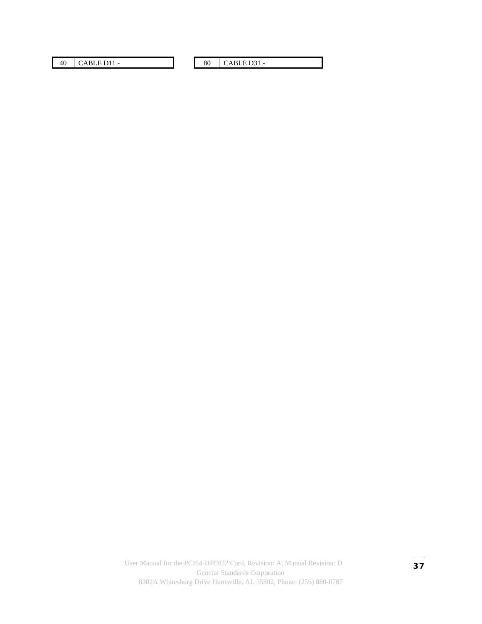40 | CABLE D11 - 80 | CABLE D31 -